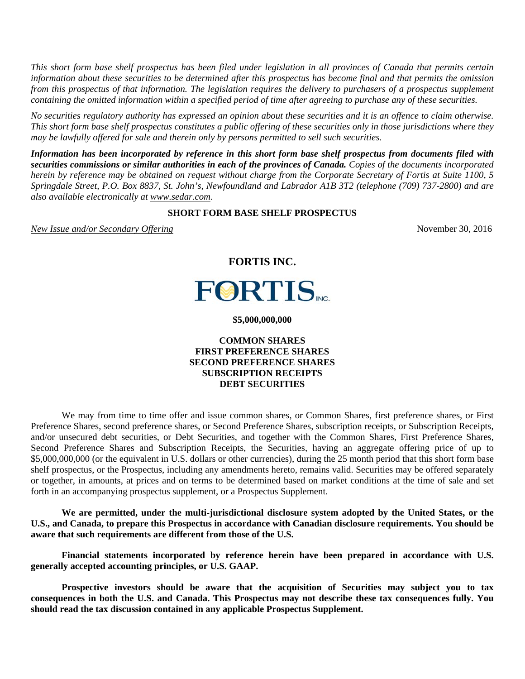*This short form base shelf prospectus has been filed under legislation in all provinces of Canada that permits certain information about these securities to be determined after this prospectus has become final and that permits the omission from this prospectus of that information. The legislation requires the delivery to purchasers of a prospectus supplement containing the omitted information within a specified period of time after agreeing to purchase any of these securities.* 

*No securities regulatory authority has expressed an opinion about these securities and it is an offence to claim otherwise. This short form base shelf prospectus constitutes a public offering of these securities only in those jurisdictions where they may be lawfully offered for sale and therein only by persons permitted to sell such securities.* 

*Information has been incorporated by reference in this short form base shelf prospectus from documents filed with securities commissions or similar authorities in each of the provinces of Canada. Copies of the documents incorporated herein by reference may be obtained on request without charge from the Corporate Secretary of Fortis at Suite 1100, 5 Springdale Street, P.O. Box 8837, St. John's, Newfoundland and Labrador A1B 3T2 (telephone (709) 737-2800) and are also available electronically at www.sedar.com*.

## **SHORT FORM BASE SHELF PROSPECTUS**

*New Issue and/or Secondary Offering*  $\frac{1}{2}$  100  $\frac{1}{2}$  100  $\frac{1}{2}$  100  $\frac{1}{2}$  100  $\frac{1}{2}$  100  $\frac{1}{2}$  100  $\frac{1}{2}$  100  $\frac{1}{2}$  100  $\frac{1}{2}$  100  $\frac{1}{2}$  100  $\frac{1}{2}$  100  $\frac{1}{2}$  100  $\frac{1}{2}$  100  $\$ 

## **FORTIS INC.**



#### **\$5,000,000,000**

**COMMON SHARES FIRST PREFERENCE SHARES SECOND PREFERENCE SHARES SUBSCRIPTION RECEIPTS DEBT SECURITIES** 

We may from time to time offer and issue common shares, or Common Shares, first preference shares, or First Preference Shares, second preference shares, or Second Preference Shares, subscription receipts, or Subscription Receipts, and/or unsecured debt securities, or Debt Securities, and together with the Common Shares, First Preference Shares, Second Preference Shares and Subscription Receipts, the Securities, having an aggregate offering price of up to \$5,000,000,000 (or the equivalent in U.S. dollars or other currencies), during the 25 month period that this short form base shelf prospectus, or the Prospectus, including any amendments hereto, remains valid. Securities may be offered separately or together, in amounts, at prices and on terms to be determined based on market conditions at the time of sale and set forth in an accompanying prospectus supplement, or a Prospectus Supplement.

**We are permitted, under the multi-jurisdictional disclosure system adopted by the United States, or the U.S., and Canada, to prepare this Prospectus in accordance with Canadian disclosure requirements. You should be aware that such requirements are different from those of the U.S.** 

**Financial statements incorporated by reference herein have been prepared in accordance with U.S. generally accepted accounting principles, or U.S. GAAP.** 

**Prospective investors should be aware that the acquisition of Securities may subject you to tax consequences in both the U.S. and Canada. This Prospectus may not describe these tax consequences fully. You should read the tax discussion contained in any applicable Prospectus Supplement.**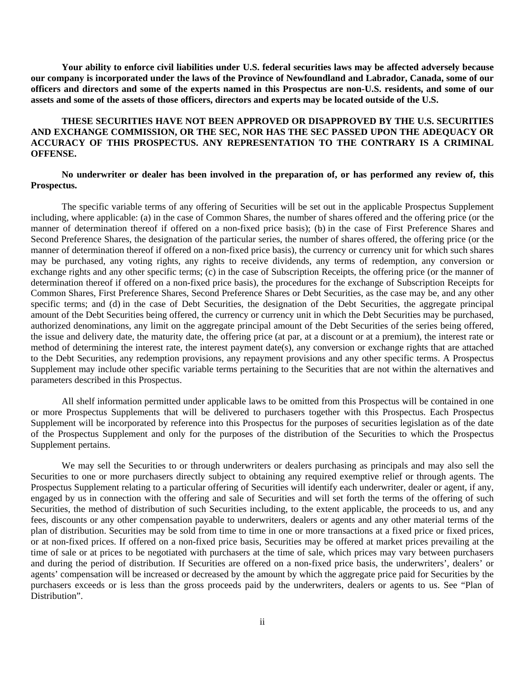**Your ability to enforce civil liabilities under U.S. federal securities laws may be affected adversely because our company is incorporated under the laws of the Province of Newfoundland and Labrador, Canada, some of our officers and directors and some of the experts named in this Prospectus are non-U.S. residents, and some of our assets and some of the assets of those officers, directors and experts may be located outside of the U.S.** 

## **THESE SECURITIES HAVE NOT BEEN APPROVED OR DISAPPROVED BY THE U.S. SECURITIES AND EXCHANGE COMMISSION, OR THE SEC, NOR HAS THE SEC PASSED UPON THE ADEQUACY OR ACCURACY OF THIS PROSPECTUS. ANY REPRESENTATION TO THE CONTRARY IS A CRIMINAL OFFENSE.**

## **No underwriter or dealer has been involved in the preparation of, or has performed any review of, this Prospectus.**

The specific variable terms of any offering of Securities will be set out in the applicable Prospectus Supplement including, where applicable: (a) in the case of Common Shares, the number of shares offered and the offering price (or the manner of determination thereof if offered on a non-fixed price basis); (b) in the case of First Preference Shares and Second Preference Shares, the designation of the particular series, the number of shares offered, the offering price (or the manner of determination thereof if offered on a non-fixed price basis), the currency or currency unit for which such shares may be purchased, any voting rights, any rights to receive dividends, any terms of redemption, any conversion or exchange rights and any other specific terms; (c) in the case of Subscription Receipts, the offering price (or the manner of determination thereof if offered on a non-fixed price basis), the procedures for the exchange of Subscription Receipts for Common Shares, First Preference Shares, Second Preference Shares or Debt Securities, as the case may be, and any other specific terms; and (d) in the case of Debt Securities, the designation of the Debt Securities, the aggregate principal amount of the Debt Securities being offered, the currency or currency unit in which the Debt Securities may be purchased, authorized denominations, any limit on the aggregate principal amount of the Debt Securities of the series being offered, the issue and delivery date, the maturity date, the offering price (at par, at a discount or at a premium), the interest rate or method of determining the interest rate, the interest payment date(s), any conversion or exchange rights that are attached to the Debt Securities, any redemption provisions, any repayment provisions and any other specific terms. A Prospectus Supplement may include other specific variable terms pertaining to the Securities that are not within the alternatives and parameters described in this Prospectus.

All shelf information permitted under applicable laws to be omitted from this Prospectus will be contained in one or more Prospectus Supplements that will be delivered to purchasers together with this Prospectus. Each Prospectus Supplement will be incorporated by reference into this Prospectus for the purposes of securities legislation as of the date of the Prospectus Supplement and only for the purposes of the distribution of the Securities to which the Prospectus Supplement pertains.

We may sell the Securities to or through underwriters or dealers purchasing as principals and may also sell the Securities to one or more purchasers directly subject to obtaining any required exemptive relief or through agents. The Prospectus Supplement relating to a particular offering of Securities will identify each underwriter, dealer or agent, if any, engaged by us in connection with the offering and sale of Securities and will set forth the terms of the offering of such Securities, the method of distribution of such Securities including, to the extent applicable, the proceeds to us, and any fees, discounts or any other compensation payable to underwriters, dealers or agents and any other material terms of the plan of distribution. Securities may be sold from time to time in one or more transactions at a fixed price or fixed prices, or at non-fixed prices. If offered on a non-fixed price basis, Securities may be offered at market prices prevailing at the time of sale or at prices to be negotiated with purchasers at the time of sale, which prices may vary between purchasers and during the period of distribution. If Securities are offered on a non-fixed price basis, the underwriters', dealers' or agents' compensation will be increased or decreased by the amount by which the aggregate price paid for Securities by the purchasers exceeds or is less than the gross proceeds paid by the underwriters, dealers or agents to us. See "Plan of Distribution".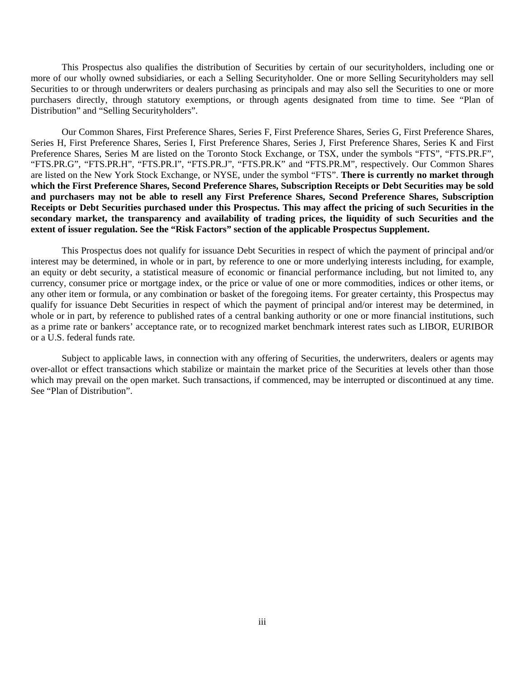This Prospectus also qualifies the distribution of Securities by certain of our securityholders, including one or more of our wholly owned subsidiaries, or each a Selling Securityholder. One or more Selling Securityholders may sell Securities to or through underwriters or dealers purchasing as principals and may also sell the Securities to one or more purchasers directly, through statutory exemptions, or through agents designated from time to time. See "Plan of Distribution" and "Selling Securityholders".

Our Common Shares, First Preference Shares, Series F, First Preference Shares, Series G, First Preference Shares, Series H, First Preference Shares, Series I, First Preference Shares, Series J, First Preference Shares, Series K and First Preference Shares, Series M are listed on the Toronto Stock Exchange, or TSX, under the symbols "FTS", "FTS.PR.F", "FTS.PR.G", "FTS.PR.H", "FTS.PR.I", "FTS.PR.J", "FTS.PR.K" and "FTS.PR.M", respectively. Our Common Shares are listed on the New York Stock Exchange, or NYSE, under the symbol "FTS". **There is currently no market through which the First Preference Shares, Second Preference Shares, Subscription Receipts or Debt Securities may be sold and purchasers may not be able to resell any First Preference Shares, Second Preference Shares, Subscription Receipts or Debt Securities purchased under this Prospectus. This may affect the pricing of such Securities in the secondary market, the transparency and availability of trading prices, the liquidity of such Securities and the extent of issuer regulation. See the "Risk Factors" section of the applicable Prospectus Supplement.** 

This Prospectus does not qualify for issuance Debt Securities in respect of which the payment of principal and/or interest may be determined, in whole or in part, by reference to one or more underlying interests including, for example, an equity or debt security, a statistical measure of economic or financial performance including, but not limited to, any currency, consumer price or mortgage index, or the price or value of one or more commodities, indices or other items, or any other item or formula, or any combination or basket of the foregoing items. For greater certainty, this Prospectus may qualify for issuance Debt Securities in respect of which the payment of principal and/or interest may be determined, in whole or in part, by reference to published rates of a central banking authority or one or more financial institutions, such as a prime rate or bankers' acceptance rate, or to recognized market benchmark interest rates such as LIBOR, EURIBOR or a U.S. federal funds rate.

Subject to applicable laws, in connection with any offering of Securities, the underwriters, dealers or agents may over-allot or effect transactions which stabilize or maintain the market price of the Securities at levels other than those which may prevail on the open market. Such transactions, if commenced, may be interrupted or discontinued at any time. See "Plan of Distribution".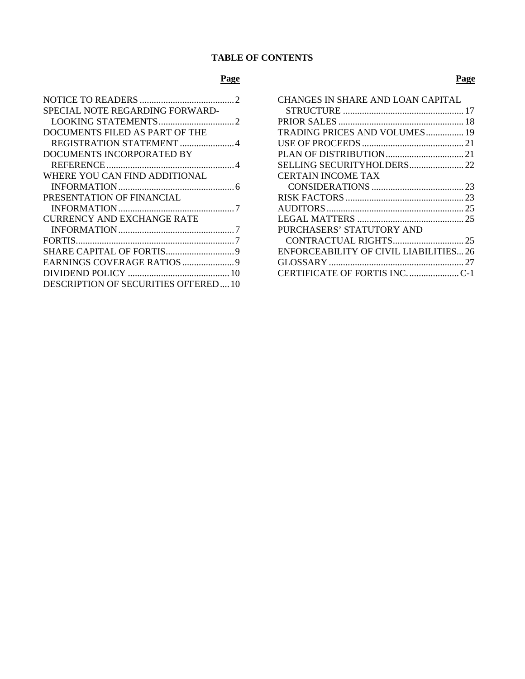# **TABLE OF CONTENTS**

| SPECIAL NOTE REGARDING FORWARD-            |  |
|--------------------------------------------|--|
|                                            |  |
| DOCUMENTS FILED AS PART OF THE             |  |
| REGISTRATION STATEMENT 4                   |  |
| DOCUMENTS INCORPORATED BY                  |  |
|                                            |  |
| WHERE YOU CAN FIND ADDITIONAL              |  |
|                                            |  |
| PRESENTATION OF FINANCIAL                  |  |
|                                            |  |
| CURRENCY AND EXCHANGE RATE                 |  |
|                                            |  |
|                                            |  |
|                                            |  |
| EARNINGS COVERAGE RATIOS 9                 |  |
|                                            |  |
| <b>DESCRIPTION OF SECURITIES OFFERED10</b> |  |

| CHANGES IN SHARE AND LOAN CAPITAL     |  |
|---------------------------------------|--|
|                                       |  |
|                                       |  |
| TRADING PRICES AND VOLUMES 19         |  |
|                                       |  |
|                                       |  |
| SELLING SECURITYHOLDERS 22            |  |
| <b>CERTAIN INCOME TAX</b>             |  |
|                                       |  |
|                                       |  |
|                                       |  |
|                                       |  |
| PURCHASERS' STATUTORY AND             |  |
|                                       |  |
| ENFORCEABILITY OF CIVIL LIABILITIES26 |  |
|                                       |  |
| CERTIFICATE OF FORTIS INC. C-1        |  |
|                                       |  |

#### **Page Page**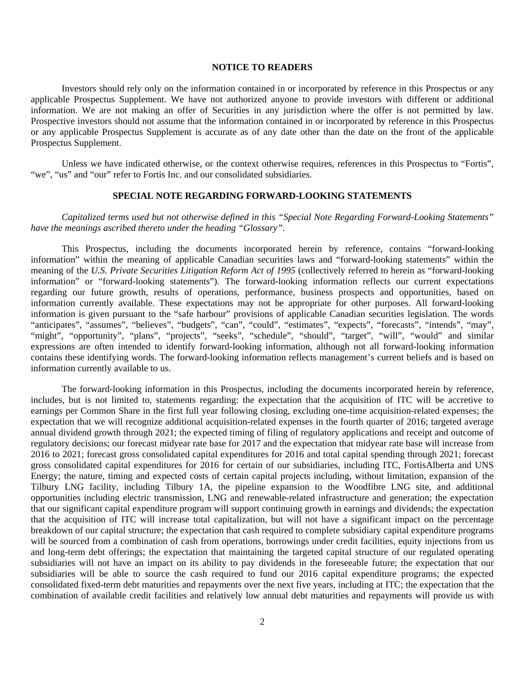#### **NOTICE TO READERS**

Investors should rely only on the information contained in or incorporated by reference in this Prospectus or any applicable Prospectus Supplement. We have not authorized anyone to provide investors with different or additional information. We are not making an offer of Securities in any jurisdiction where the offer is not permitted by law. Prospective investors should not assume that the information contained in or incorporated by reference in this Prospectus or any applicable Prospectus Supplement is accurate as of any date other than the date on the front of the applicable Prospectus Supplement.

Unless we have indicated otherwise, or the context otherwise requires, references in this Prospectus to "Fortis", "we", "us" and "our" refer to Fortis Inc. and our consolidated subsidiaries.

## **SPECIAL NOTE REGARDING FORWARD-LOOKING STATEMENTS**

*Capitalized terms used but not otherwise defined in this "Special Note Regarding Forward-Looking Statements" have the meanings ascribed thereto under the heading "Glossary".* 

This Prospectus, including the documents incorporated herein by reference, contains "forward-looking information" within the meaning of applicable Canadian securities laws and "forward-looking statements" within the meaning of the *U.S. Private Securities Litigation Reform Act of 1995* (collectively referred to herein as "forward-looking information" or "forward-looking statements"). The forward-looking information reflects our current expectations regarding our future growth, results of operations, performance, business prospects and opportunities, based on information currently available. These expectations may not be appropriate for other purposes. All forward-looking information is given pursuant to the "safe harbour" provisions of applicable Canadian securities legislation. The words "anticipates", "assumes", "believes", "budgets", "can", "could", "estimates", "expects", "forecasts", "intends", "may", "might", "opportunity", "plans", "projects", "seeks", "schedule", "should", "target", "will", "would" and similar expressions are often intended to identify forward-looking information, although not all forward-looking information contains these identifying words. The forward-looking information reflects management's current beliefs and is based on information currently available to us.

The forward-looking information in this Prospectus, including the documents incorporated herein by reference, includes, but is not limited to, statements regarding: the expectation that the acquisition of ITC will be accretive to earnings per Common Share in the first full year following closing, excluding one-time acquisition-related expenses; the expectation that we will recognize additional acquisition-related expenses in the fourth quarter of 2016; targeted average annual dividend growth through 2021; the expected timing of filing of regulatory applications and receipt and outcome of regulatory decisions; our forecast midyear rate base for 2017 and the expectation that midyear rate base will increase from 2016 to 2021; forecast gross consolidated capital expenditures for 2016 and total capital spending through 2021; forecast gross consolidated capital expenditures for 2016 for certain of our subsidiaries, including ITC, FortisAlberta and UNS Energy; the nature, timing and expected costs of certain capital projects including, without limitation, expansion of the Tilbury LNG facility, including Tilbury 1A, the pipeline expansion to the Woodfibre LNG site, and additional opportunities including electric transmission, LNG and renewable-related infrastructure and generation; the expectation that our significant capital expenditure program will support continuing growth in earnings and dividends; the expectation that the acquisition of ITC will increase total capitalization, but will not have a significant impact on the percentage breakdown of our capital structure; the expectation that cash required to complete subsidiary capital expenditure programs will be sourced from a combination of cash from operations, borrowings under credit facilities, equity injections from us and long-term debt offerings; the expectation that maintaining the targeted capital structure of our regulated operating subsidiaries will not have an impact on its ability to pay dividends in the foreseeable future; the expectation that our subsidiaries will be able to source the cash required to fund our 2016 capital expenditure programs; the expected consolidated fixed-term debt maturities and repayments over the next five years, including at ITC; the expectation that the combination of available credit facilities and relatively low annual debt maturities and repayments will provide us with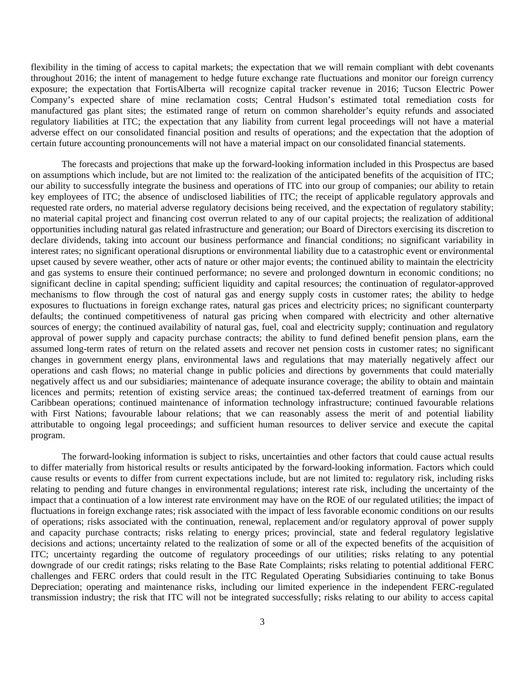flexibility in the timing of access to capital markets; the expectation that we will remain compliant with debt covenants throughout 2016; the intent of management to hedge future exchange rate fluctuations and monitor our foreign currency exposure; the expectation that FortisAlberta will recognize capital tracker revenue in 2016; Tucson Electric Power Company's expected share of mine reclamation costs; Central Hudson's estimated total remediation costs for manufactured gas plant sites; the estimated range of return on common shareholder's equity refunds and associated regulatory liabilities at ITC; the expectation that any liability from current legal proceedings will not have a material adverse effect on our consolidated financial position and results of operations; and the expectation that the adoption of certain future accounting pronouncements will not have a material impact on our consolidated financial statements.

The forecasts and projections that make up the forward-looking information included in this Prospectus are based on assumptions which include, but are not limited to: the realization of the anticipated benefits of the acquisition of ITC; our ability to successfully integrate the business and operations of ITC into our group of companies; our ability to retain key employees of ITC; the absence of undisclosed liabilities of ITC; the receipt of applicable regulatory approvals and requested rate orders, no material adverse regulatory decisions being received, and the expectation of regulatory stability; no material capital project and financing cost overrun related to any of our capital projects; the realization of additional opportunities including natural gas related infrastructure and generation; our Board of Directors exercising its discretion to declare dividends, taking into account our business performance and financial conditions; no significant variability in interest rates; no significant operational disruptions or environmental liability due to a catastrophic event or environmental upset caused by severe weather, other acts of nature or other major events; the continued ability to maintain the electricity and gas systems to ensure their continued performance; no severe and prolonged downturn in economic conditions; no significant decline in capital spending; sufficient liquidity and capital resources; the continuation of regulator-approved mechanisms to flow through the cost of natural gas and energy supply costs in customer rates; the ability to hedge exposures to fluctuations in foreign exchange rates, natural gas prices and electricity prices; no significant counterparty defaults; the continued competitiveness of natural gas pricing when compared with electricity and other alternative sources of energy; the continued availability of natural gas, fuel, coal and electricity supply; continuation and regulatory approval of power supply and capacity purchase contracts; the ability to fund defined benefit pension plans, earn the assumed long-term rates of return on the related assets and recover net pension costs in customer rates; no significant changes in government energy plans, environmental laws and regulations that may materially negatively affect our operations and cash flows; no material change in public policies and directions by governments that could materially negatively affect us and our subsidiaries; maintenance of adequate insurance coverage; the ability to obtain and maintain licences and permits; retention of existing service areas; the continued tax-deferred treatment of earnings from our Caribbean operations; continued maintenance of information technology infrastructure; continued favourable relations with First Nations; favourable labour relations; that we can reasonably assess the merit of and potential liability attributable to ongoing legal proceedings; and sufficient human resources to deliver service and execute the capital program.

The forward-looking information is subject to risks, uncertainties and other factors that could cause actual results to differ materially from historical results or results anticipated by the forward-looking information. Factors which could cause results or events to differ from current expectations include, but are not limited to: regulatory risk, including risks relating to pending and future changes in environmental regulations; interest rate risk, including the uncertainty of the impact that a continuation of a low interest rate environment may have on the ROE of our regulated utilities; the impact of fluctuations in foreign exchange rates; risk associated with the impact of less favorable economic conditions on our results of operations; risks associated with the continuation, renewal, replacement and/or regulatory approval of power supply and capacity purchase contracts; risks relating to energy prices; provincial, state and federal regulatory legislative decisions and actions; uncertainty related to the realization of some or all of the expected benefits of the acquisition of ITC; uncertainty regarding the outcome of regulatory proceedings of our utilities; risks relating to any potential downgrade of our credit ratings; risks relating to the Base Rate Complaints; risks relating to potential additional FERC challenges and FERC orders that could result in the ITC Regulated Operating Subsidiaries continuing to take Bonus Depreciation; operating and maintenance risks, including our limited experience in the independent FERC-regulated transmission industry; the risk that ITC will not be integrated successfully; risks relating to our ability to access capital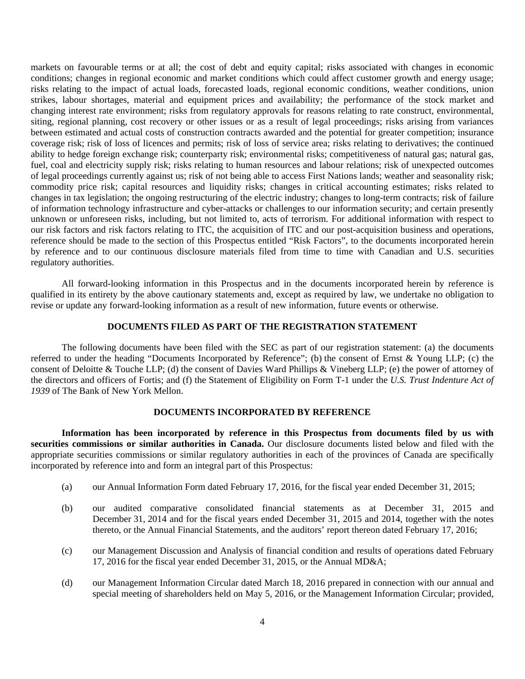markets on favourable terms or at all; the cost of debt and equity capital; risks associated with changes in economic conditions; changes in regional economic and market conditions which could affect customer growth and energy usage; risks relating to the impact of actual loads, forecasted loads, regional economic conditions, weather conditions, union strikes, labour shortages, material and equipment prices and availability; the performance of the stock market and changing interest rate environment; risks from regulatory approvals for reasons relating to rate construct, environmental, siting, regional planning, cost recovery or other issues or as a result of legal proceedings; risks arising from variances between estimated and actual costs of construction contracts awarded and the potential for greater competition; insurance coverage risk; risk of loss of licences and permits; risk of loss of service area; risks relating to derivatives; the continued ability to hedge foreign exchange risk; counterparty risk; environmental risks; competitiveness of natural gas; natural gas, fuel, coal and electricity supply risk; risks relating to human resources and labour relations; risk of unexpected outcomes of legal proceedings currently against us; risk of not being able to access First Nations lands; weather and seasonality risk; commodity price risk; capital resources and liquidity risks; changes in critical accounting estimates; risks related to changes in tax legislation; the ongoing restructuring of the electric industry; changes to long-term contracts; risk of failure of information technology infrastructure and cyber-attacks or challenges to our information security; and certain presently unknown or unforeseen risks, including, but not limited to, acts of terrorism. For additional information with respect to our risk factors and risk factors relating to ITC, the acquisition of ITC and our post-acquisition business and operations, reference should be made to the section of this Prospectus entitled "Risk Factors", to the documents incorporated herein by reference and to our continuous disclosure materials filed from time to time with Canadian and U.S. securities regulatory authorities.

All forward-looking information in this Prospectus and in the documents incorporated herein by reference is qualified in its entirety by the above cautionary statements and, except as required by law, we undertake no obligation to revise or update any forward-looking information as a result of new information, future events or otherwise.

## **DOCUMENTS FILED AS PART OF THE REGISTRATION STATEMENT**

The following documents have been filed with the SEC as part of our registration statement: (a) the documents referred to under the heading "Documents Incorporated by Reference"; (b) the consent of Ernst & Young LLP; (c) the consent of Deloitte & Touche LLP; (d) the consent of Davies Ward Phillips & Vineberg LLP; (e) the power of attorney of the directors and officers of Fortis; and (f) the Statement of Eligibility on Form T-1 under the *U.S. Trust Indenture Act of 1939* of The Bank of New York Mellon.

#### **DOCUMENTS INCORPORATED BY REFERENCE**

**Information has been incorporated by reference in this Prospectus from documents filed by us with securities commissions or similar authorities in Canada.** Our disclosure documents listed below and filed with the appropriate securities commissions or similar regulatory authorities in each of the provinces of Canada are specifically incorporated by reference into and form an integral part of this Prospectus:

- (a) our Annual Information Form dated February 17, 2016, for the fiscal year ended December 31, 2015;
- (b) our audited comparative consolidated financial statements as at December 31, 2015 and December 31, 2014 and for the fiscal years ended December 31, 2015 and 2014, together with the notes thereto, or the Annual Financial Statements, and the auditors' report thereon dated February 17, 2016;
- (c) our Management Discussion and Analysis of financial condition and results of operations dated February 17, 2016 for the fiscal year ended December 31, 2015, or the Annual MD&A;
- (d) our Management Information Circular dated March 18, 2016 prepared in connection with our annual and special meeting of shareholders held on May 5, 2016, or the Management Information Circular; provided,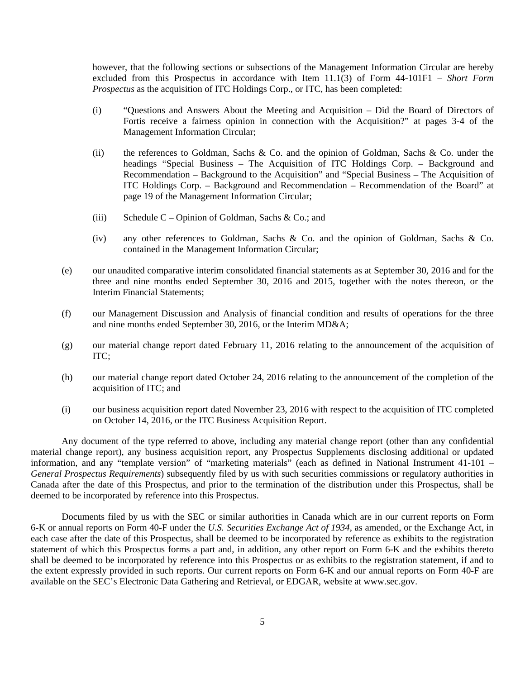however, that the following sections or subsections of the Management Information Circular are hereby excluded from this Prospectus in accordance with Item 11.1(3) of Form 44-101F1 – *Short Form Prospectus* as the acquisition of ITC Holdings Corp., or ITC, has been completed:

- (i) "Questions and Answers About the Meeting and Acquisition Did the Board of Directors of Fortis receive a fairness opinion in connection with the Acquisition?" at pages 3-4 of the Management Information Circular;
- (ii) the references to Goldman, Sachs & Co. and the opinion of Goldman, Sachs & Co. under the headings "Special Business – The Acquisition of ITC Holdings Corp. – Background and Recommendation – Background to the Acquisition" and "Special Business – The Acquisition of ITC Holdings Corp. – Background and Recommendation – Recommendation of the Board" at page 19 of the Management Information Circular;
- (iii) Schedule  $C -$ Opinion of Goldman, Sachs & Co.; and
- (iv) any other references to Goldman, Sachs & Co. and the opinion of Goldman, Sachs & Co. contained in the Management Information Circular;
- (e) our unaudited comparative interim consolidated financial statements as at September 30, 2016 and for the three and nine months ended September 30, 2016 and 2015, together with the notes thereon, or the Interim Financial Statements;
- (f) our Management Discussion and Analysis of financial condition and results of operations for the three and nine months ended September 30, 2016, or the Interim MD&A;
- (g) our material change report dated February 11, 2016 relating to the announcement of the acquisition of ITC;
- (h) our material change report dated October 24, 2016 relating to the announcement of the completion of the acquisition of ITC; and
- (i) our business acquisition report dated November 23, 2016 with respect to the acquisition of ITC completed on October 14, 2016, or the ITC Business Acquisition Report.

Any document of the type referred to above, including any material change report (other than any confidential material change report), any business acquisition report, any Prospectus Supplements disclosing additional or updated information, and any "template version" of "marketing materials" (each as defined in National Instrument 41-101 – *General Prospectus Requirements*) subsequently filed by us with such securities commissions or regulatory authorities in Canada after the date of this Prospectus, and prior to the termination of the distribution under this Prospectus, shall be deemed to be incorporated by reference into this Prospectus.

Documents filed by us with the SEC or similar authorities in Canada which are in our current reports on Form 6-K or annual reports on Form 40-F under the *U.S. Securities Exchange Act of 1934*, as amended, or the Exchange Act, in each case after the date of this Prospectus, shall be deemed to be incorporated by reference as exhibits to the registration statement of which this Prospectus forms a part and, in addition, any other report on Form 6-K and the exhibits thereto shall be deemed to be incorporated by reference into this Prospectus or as exhibits to the registration statement, if and to the extent expressly provided in such reports. Our current reports on Form 6-K and our annual reports on Form 40-F are available on the SEC's Electronic Data Gathering and Retrieval, or EDGAR, website at www.sec.gov.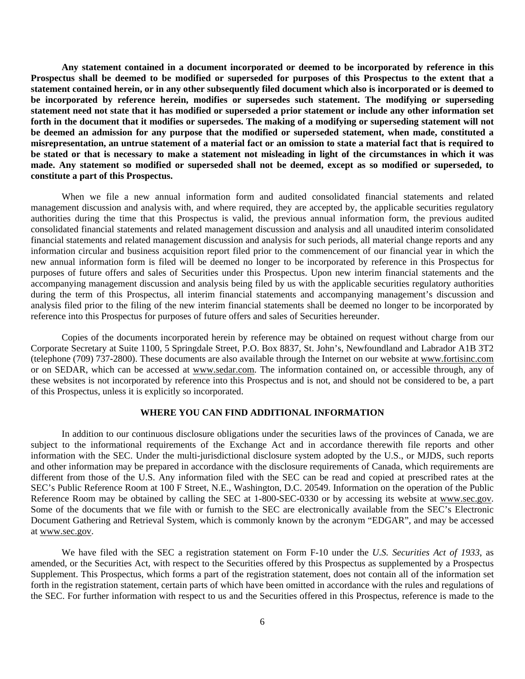**Any statement contained in a document incorporated or deemed to be incorporated by reference in this Prospectus shall be deemed to be modified or superseded for purposes of this Prospectus to the extent that a statement contained herein, or in any other subsequently filed document which also is incorporated or is deemed to be incorporated by reference herein, modifies or supersedes such statement. The modifying or superseding statement need not state that it has modified or superseded a prior statement or include any other information set forth in the document that it modifies or supersedes. The making of a modifying or superseding statement will not be deemed an admission for any purpose that the modified or superseded statement, when made, constituted a misrepresentation, an untrue statement of a material fact or an omission to state a material fact that is required to be stated or that is necessary to make a statement not misleading in light of the circumstances in which it was made. Any statement so modified or superseded shall not be deemed, except as so modified or superseded, to constitute a part of this Prospectus.** 

When we file a new annual information form and audited consolidated financial statements and related management discussion and analysis with, and where required, they are accepted by, the applicable securities regulatory authorities during the time that this Prospectus is valid, the previous annual information form, the previous audited consolidated financial statements and related management discussion and analysis and all unaudited interim consolidated financial statements and related management discussion and analysis for such periods, all material change reports and any information circular and business acquisition report filed prior to the commencement of our financial year in which the new annual information form is filed will be deemed no longer to be incorporated by reference in this Prospectus for purposes of future offers and sales of Securities under this Prospectus. Upon new interim financial statements and the accompanying management discussion and analysis being filed by us with the applicable securities regulatory authorities during the term of this Prospectus, all interim financial statements and accompanying management's discussion and analysis filed prior to the filing of the new interim financial statements shall be deemed no longer to be incorporated by reference into this Prospectus for purposes of future offers and sales of Securities hereunder.

Copies of the documents incorporated herein by reference may be obtained on request without charge from our Corporate Secretary at Suite 1100, 5 Springdale Street, P.O. Box 8837, St. John's, Newfoundland and Labrador A1B 3T2 (telephone (709) 737-2800). These documents are also available through the Internet on our website at www.fortisinc.com or on SEDAR, which can be accessed at www.sedar.com. The information contained on, or accessible through, any of these websites is not incorporated by reference into this Prospectus and is not, and should not be considered to be, a part of this Prospectus, unless it is explicitly so incorporated.

## **WHERE YOU CAN FIND ADDITIONAL INFORMATION**

In addition to our continuous disclosure obligations under the securities laws of the provinces of Canada, we are subject to the informational requirements of the Exchange Act and in accordance therewith file reports and other information with the SEC. Under the multi-jurisdictional disclosure system adopted by the U.S., or MJDS, such reports and other information may be prepared in accordance with the disclosure requirements of Canada, which requirements are different from those of the U.S. Any information filed with the SEC can be read and copied at prescribed rates at the SEC's Public Reference Room at 100 F Street, N.E., Washington, D.C. 20549. Information on the operation of the Public Reference Room may be obtained by calling the SEC at 1-800-SEC-0330 or by accessing its website at www.sec.gov. Some of the documents that we file with or furnish to the SEC are electronically available from the SEC's Electronic Document Gathering and Retrieval System, which is commonly known by the acronym "EDGAR", and may be accessed at www.sec.gov.

We have filed with the SEC a registration statement on Form F-10 under the *U.S. Securities Act of 1933*, as amended, or the Securities Act, with respect to the Securities offered by this Prospectus as supplemented by a Prospectus Supplement. This Prospectus, which forms a part of the registration statement, does not contain all of the information set forth in the registration statement, certain parts of which have been omitted in accordance with the rules and regulations of the SEC. For further information with respect to us and the Securities offered in this Prospectus, reference is made to the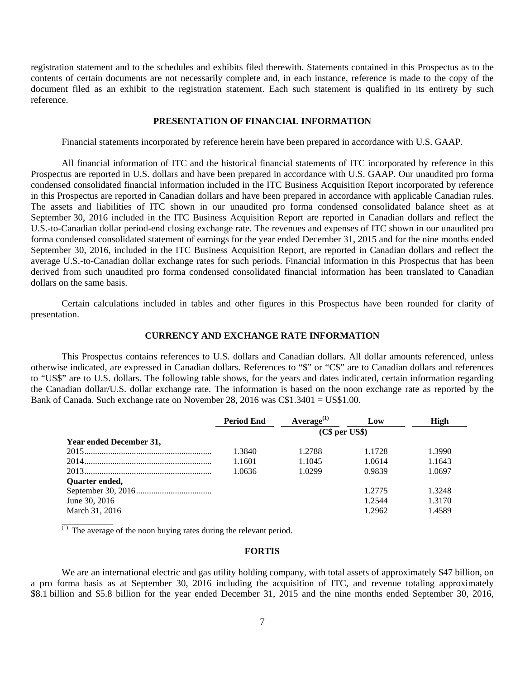registration statement and to the schedules and exhibits filed therewith. Statements contained in this Prospectus as to the contents of certain documents are not necessarily complete and, in each instance, reference is made to the copy of the document filed as an exhibit to the registration statement. Each such statement is qualified in its entirety by such reference.

#### **PRESENTATION OF FINANCIAL INFORMATION**

Financial statements incorporated by reference herein have been prepared in accordance with U.S. GAAP.

All financial information of ITC and the historical financial statements of ITC incorporated by reference in this Prospectus are reported in U.S. dollars and have been prepared in accordance with U.S. GAAP. Our unaudited pro forma condensed consolidated financial information included in the ITC Business Acquisition Report incorporated by reference in this Prospectus are reported in Canadian dollars and have been prepared in accordance with applicable Canadian rules. The assets and liabilities of ITC shown in our unaudited pro forma condensed consolidated balance sheet as at September 30, 2016 included in the ITC Business Acquisition Report are reported in Canadian dollars and reflect the U.S.-to-Canadian dollar period-end closing exchange rate. The revenues and expenses of ITC shown in our unaudited pro forma condensed consolidated statement of earnings for the year ended December 31, 2015 and for the nine months ended September 30, 2016, included in the ITC Business Acquisition Report, are reported in Canadian dollars and reflect the average U.S.-to-Canadian dollar exchange rates for such periods. Financial information in this Prospectus that has been derived from such unaudited pro forma condensed consolidated financial information has been translated to Canadian dollars on the same basis.

Certain calculations included in tables and other figures in this Prospectus have been rounded for clarity of presentation.

## **CURRENCY AND EXCHANGE RATE INFORMATION**

This Prospectus contains references to U.S. dollars and Canadian dollars. All dollar amounts referenced, unless otherwise indicated, are expressed in Canadian dollars. References to "\$" or "C\$" are to Canadian dollars and references to "US\$" are to U.S. dollars. The following table shows, for the years and dates indicated, certain information regarding the Canadian dollar/U.S. dollar exchange rate. The information is based on the noon exchange rate as reported by the Bank of Canada. Such exchange rate on November 28, 2016 was C\$1.3401 = US\$1.00.

|                         | <b>Period End</b> | Average $^{(1)}$ | Low    | High   |
|-------------------------|-------------------|------------------|--------|--------|
|                         |                   | (C\$ per US\$)   |        |        |
| Year ended December 31, |                   |                  |        |        |
|                         | 1.3840            | 1.2788           | 1.1728 | 1.3990 |
|                         | 1.1601            | 1.1045           | 1.0614 | 1.1643 |
|                         | 1.0636            | 1.0299           | 0.9839 | 1.0697 |
| <b>Ouarter ended,</b>   |                   |                  |        |        |
|                         |                   |                  | 1.2775 | 1.3248 |
| June 30, 2016           |                   |                  | 1.2544 | 1.3170 |
| March 31, 2016          |                   |                  | 1.2962 | 1.4589 |
|                         |                   |                  |        |        |

 $<sup>(1)</sup>$  The average of the noon buying rates during the relevant period.</sup>

## **FORTIS**

We are an international electric and gas utility holding company, with total assets of approximately \$47 billion, on a pro forma basis as at September 30, 2016 including the acquisition of ITC, and revenue totaling approximately \$8.1 billion and \$5.8 billion for the year ended December 31, 2015 and the nine months ended September 30, 2016,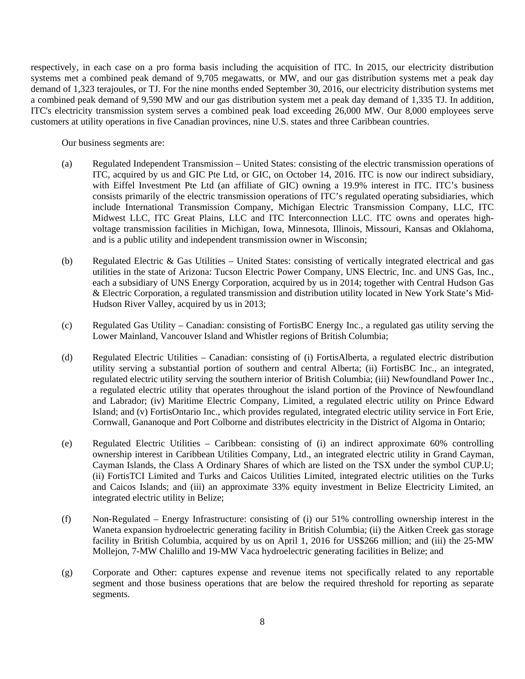respectively, in each case on a pro forma basis including the acquisition of ITC. In 2015, our electricity distribution systems met a combined peak demand of 9,705 megawatts, or MW, and our gas distribution systems met a peak day demand of 1,323 terajoules, or TJ. For the nine months ended September 30, 2016, our electricity distribution systems met a combined peak demand of 9,590 MW and our gas distribution system met a peak day demand of 1,335 TJ. In addition, ITC's electricity transmission system serves a combined peak load exceeding 26,000 MW. Our 8,000 employees serve customers at utility operations in five Canadian provinces, nine U.S. states and three Caribbean countries.

Our business segments are:

- (a) Regulated Independent Transmission United States: consisting of the electric transmission operations of ITC, acquired by us and GIC Pte Ltd, or GIC, on October 14, 2016. ITC is now our indirect subsidiary, with Eiffel Investment Pte Ltd (an affiliate of GIC) owning a 19.9% interest in ITC. ITC's business consists primarily of the electric transmission operations of ITC's regulated operating subsidiaries, which include International Transmission Company, Michigan Electric Transmission Company, LLC, ITC Midwest LLC, ITC Great Plains, LLC and ITC Interconnection LLC. ITC owns and operates highvoltage transmission facilities in Michigan, Iowa, Minnesota, Illinois, Missouri, Kansas and Oklahoma, and is a public utility and independent transmission owner in Wisconsin;
- (b) Regulated Electric & Gas Utilities United States: consisting of vertically integrated electrical and gas utilities in the state of Arizona: Tucson Electric Power Company, UNS Electric, Inc. and UNS Gas, Inc., each a subsidiary of UNS Energy Corporation, acquired by us in 2014; together with Central Hudson Gas & Electric Corporation, a regulated transmission and distribution utility located in New York State's Mid-Hudson River Valley, acquired by us in 2013;
- (c) Regulated Gas Utility Canadian: consisting of FortisBC Energy Inc., a regulated gas utility serving the Lower Mainland, Vancouver Island and Whistler regions of British Columbia;
- (d) Regulated Electric Utilities Canadian: consisting of (i) FortisAlberta, a regulated electric distribution utility serving a substantial portion of southern and central Alberta; (ii) FortisBC Inc., an integrated, regulated electric utility serving the southern interior of British Columbia; (iii) Newfoundland Power Inc., a regulated electric utility that operates throughout the island portion of the Province of Newfoundland and Labrador; (iv) Maritime Electric Company, Limited, a regulated electric utility on Prince Edward Island; and (v) FortisOntario Inc., which provides regulated, integrated electric utility service in Fort Erie, Cornwall, Gananoque and Port Colborne and distributes electricity in the District of Algoma in Ontario;
- (e) Regulated Electric Utilities Caribbean: consisting of (i) an indirect approximate 60% controlling ownership interest in Caribbean Utilities Company, Ltd., an integrated electric utility in Grand Cayman, Cayman Islands, the Class A Ordinary Shares of which are listed on the TSX under the symbol CUP.U; (ii) FortisTCI Limited and Turks and Caicos Utilities Limited, integrated electric utilities on the Turks and Caicos Islands; and (iii) an approximate 33% equity investment in Belize Electricity Limited, an integrated electric utility in Belize;
- (f) Non-Regulated Energy Infrastructure: consisting of (i) our 51% controlling ownership interest in the Waneta expansion hydroelectric generating facility in British Columbia; (ii) the Aitken Creek gas storage facility in British Columbia, acquired by us on April 1, 2016 for US\$266 million; and (iii) the 25-MW Mollejon, 7-MW Chalillo and 19-MW Vaca hydroelectric generating facilities in Belize; and
- (g) Corporate and Other: captures expense and revenue items not specifically related to any reportable segment and those business operations that are below the required threshold for reporting as separate segments.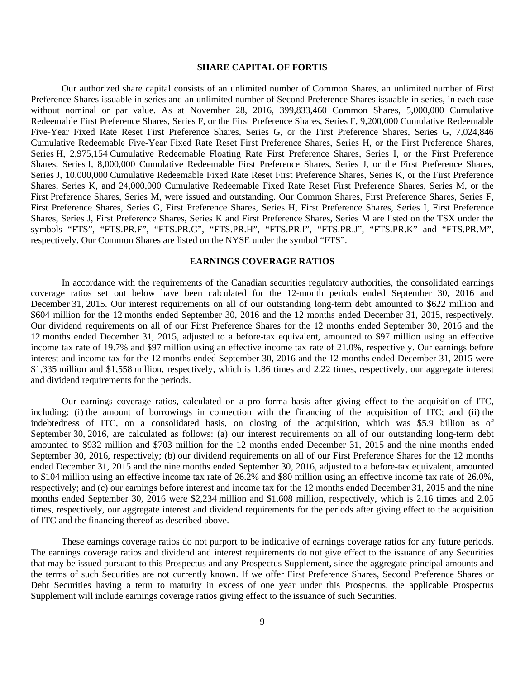#### **SHARE CAPITAL OF FORTIS**

Our authorized share capital consists of an unlimited number of Common Shares, an unlimited number of First Preference Shares issuable in series and an unlimited number of Second Preference Shares issuable in series, in each case without nominal or par value. As at November 28, 2016, 399,833,460 Common Shares, 5,000,000 Cumulative Redeemable First Preference Shares, Series F, or the First Preference Shares, Series F, 9,200,000 Cumulative Redeemable Five-Year Fixed Rate Reset First Preference Shares, Series G, or the First Preference Shares, Series G, 7,024,846 Cumulative Redeemable Five-Year Fixed Rate Reset First Preference Shares, Series H, or the First Preference Shares, Series H, 2,975,154 Cumulative Redeemable Floating Rate First Preference Shares, Series I, or the First Preference Shares, Series I, 8,000,000 Cumulative Redeemable First Preference Shares, Series J, or the First Preference Shares, Series J, 10,000,000 Cumulative Redeemable Fixed Rate Reset First Preference Shares, Series K, or the First Preference Shares, Series K, and 24,000,000 Cumulative Redeemable Fixed Rate Reset First Preference Shares, Series M, or the First Preference Shares, Series M, were issued and outstanding. Our Common Shares, First Preference Shares, Series F, First Preference Shares, Series G, First Preference Shares, Series H, First Preference Shares, Series I, First Preference Shares, Series J, First Preference Shares, Series K and First Preference Shares, Series M are listed on the TSX under the symbols "FTS", "FTS.PR.F", "FTS.PR.G", "FTS.PR.H", "FTS.PR.I", "FTS.PR.J", "FTS.PR.K" and "FTS.PR.M", respectively. Our Common Shares are listed on the NYSE under the symbol "FTS".

## **EARNINGS COVERAGE RATIOS**

In accordance with the requirements of the Canadian securities regulatory authorities, the consolidated earnings coverage ratios set out below have been calculated for the 12-month periods ended September 30, 2016 and December 31, 2015. Our interest requirements on all of our outstanding long-term debt amounted to \$622 million and \$604 million for the 12 months ended September 30, 2016 and the 12 months ended December 31, 2015, respectively. Our dividend requirements on all of our First Preference Shares for the 12 months ended September 30, 2016 and the 12 months ended December 31, 2015, adjusted to a before-tax equivalent, amounted to \$97 million using an effective income tax rate of 19.7% and \$97 million using an effective income tax rate of 21.0%, respectively. Our earnings before interest and income tax for the 12 months ended September 30, 2016 and the 12 months ended December 31, 2015 were \$1,335 million and \$1,558 million, respectively, which is 1.86 times and 2.22 times, respectively, our aggregate interest and dividend requirements for the periods.

Our earnings coverage ratios, calculated on a pro forma basis after giving effect to the acquisition of ITC, including: (i) the amount of borrowings in connection with the financing of the acquisition of ITC; and (ii) the indebtedness of ITC, on a consolidated basis, on closing of the acquisition, which was \$5.9 billion as of September 30, 2016, are calculated as follows: (a) our interest requirements on all of our outstanding long-term debt amounted to \$932 million and \$703 million for the 12 months ended December 31, 2015 and the nine months ended September 30, 2016, respectively; (b) our dividend requirements on all of our First Preference Shares for the 12 months ended December 31, 2015 and the nine months ended September 30, 2016, adjusted to a before-tax equivalent, amounted to \$104 million using an effective income tax rate of 26.2% and \$80 million using an effective income tax rate of 26.0%, respectively; and (c) our earnings before interest and income tax for the 12 months ended December 31, 2015 and the nine months ended September 30, 2016 were \$2,234 million and \$1,608 million, respectively, which is 2.16 times and 2.05 times, respectively, our aggregate interest and dividend requirements for the periods after giving effect to the acquisition of ITC and the financing thereof as described above.

These earnings coverage ratios do not purport to be indicative of earnings coverage ratios for any future periods. The earnings coverage ratios and dividend and interest requirements do not give effect to the issuance of any Securities that may be issued pursuant to this Prospectus and any Prospectus Supplement, since the aggregate principal amounts and the terms of such Securities are not currently known. If we offer First Preference Shares, Second Preference Shares or Debt Securities having a term to maturity in excess of one year under this Prospectus, the applicable Prospectus Supplement will include earnings coverage ratios giving effect to the issuance of such Securities.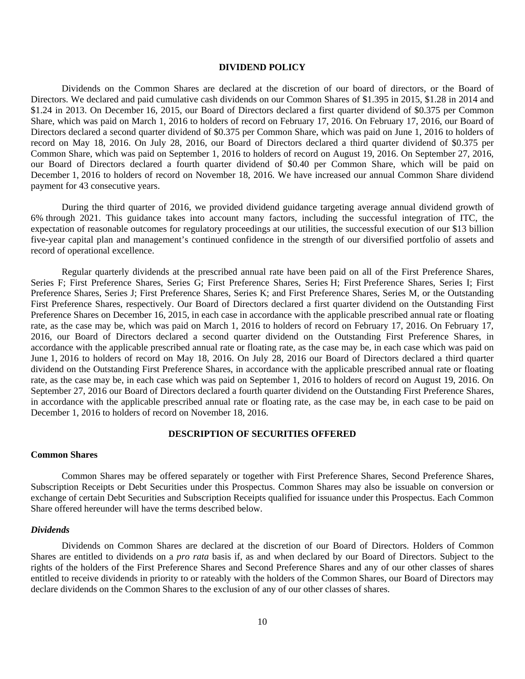#### **DIVIDEND POLICY**

Dividends on the Common Shares are declared at the discretion of our board of directors, or the Board of Directors. We declared and paid cumulative cash dividends on our Common Shares of \$1.395 in 2015, \$1.28 in 2014 and \$1.24 in 2013. On December 16, 2015, our Board of Directors declared a first quarter dividend of \$0.375 per Common Share, which was paid on March 1, 2016 to holders of record on February 17, 2016. On February 17, 2016, our Board of Directors declared a second quarter dividend of \$0.375 per Common Share, which was paid on June 1, 2016 to holders of record on May 18, 2016. On July 28, 2016, our Board of Directors declared a third quarter dividend of \$0.375 per Common Share, which was paid on September 1, 2016 to holders of record on August 19, 2016. On September 27, 2016, our Board of Directors declared a fourth quarter dividend of \$0.40 per Common Share, which will be paid on December 1, 2016 to holders of record on November 18, 2016. We have increased our annual Common Share dividend payment for 43 consecutive years.

During the third quarter of 2016, we provided dividend guidance targeting average annual dividend growth of 6% through 2021. This guidance takes into account many factors, including the successful integration of ITC, the expectation of reasonable outcomes for regulatory proceedings at our utilities, the successful execution of our \$13 billion five-year capital plan and management's continued confidence in the strength of our diversified portfolio of assets and record of operational excellence.

Regular quarterly dividends at the prescribed annual rate have been paid on all of the First Preference Shares, Series F; First Preference Shares, Series G; First Preference Shares, Series H; First Preference Shares, Series I; First Preference Shares, Series J; First Preference Shares, Series K; and First Preference Shares, Series M, or the Outstanding First Preference Shares, respectively. Our Board of Directors declared a first quarter dividend on the Outstanding First Preference Shares on December 16, 2015, in each case in accordance with the applicable prescribed annual rate or floating rate, as the case may be, which was paid on March 1, 2016 to holders of record on February 17, 2016. On February 17, 2016, our Board of Directors declared a second quarter dividend on the Outstanding First Preference Shares, in accordance with the applicable prescribed annual rate or floating rate, as the case may be, in each case which was paid on June 1, 2016 to holders of record on May 18, 2016. On July 28, 2016 our Board of Directors declared a third quarter dividend on the Outstanding First Preference Shares, in accordance with the applicable prescribed annual rate or floating rate, as the case may be, in each case which was paid on September 1, 2016 to holders of record on August 19, 2016. On September 27, 2016 our Board of Directors declared a fourth quarter dividend on the Outstanding First Preference Shares, in accordance with the applicable prescribed annual rate or floating rate, as the case may be, in each case to be paid on December 1, 2016 to holders of record on November 18, 2016.

## **DESCRIPTION OF SECURITIES OFFERED**

#### **Common Shares**

Common Shares may be offered separately or together with First Preference Shares, Second Preference Shares, Subscription Receipts or Debt Securities under this Prospectus. Common Shares may also be issuable on conversion or exchange of certain Debt Securities and Subscription Receipts qualified for issuance under this Prospectus. Each Common Share offered hereunder will have the terms described below.

#### *Dividends*

Dividends on Common Shares are declared at the discretion of our Board of Directors. Holders of Common Shares are entitled to dividends on a *pro rata* basis if, as and when declared by our Board of Directors. Subject to the rights of the holders of the First Preference Shares and Second Preference Shares and any of our other classes of shares entitled to receive dividends in priority to or rateably with the holders of the Common Shares, our Board of Directors may declare dividends on the Common Shares to the exclusion of any of our other classes of shares.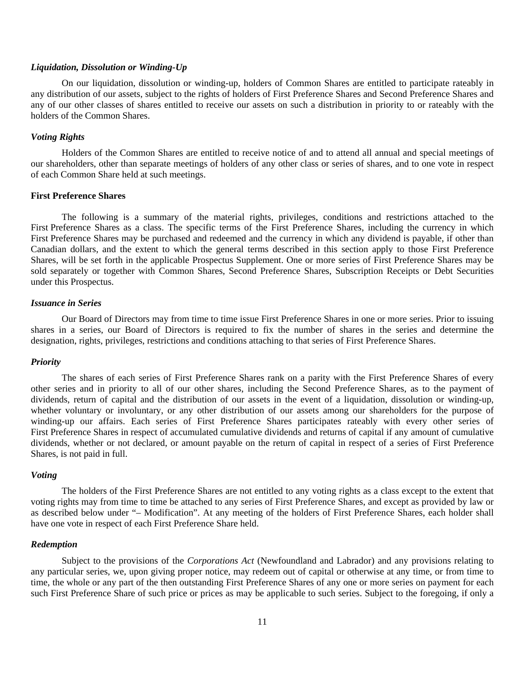#### *Liquidation, Dissolution or Winding-Up*

On our liquidation, dissolution or winding-up, holders of Common Shares are entitled to participate rateably in any distribution of our assets, subject to the rights of holders of First Preference Shares and Second Preference Shares and any of our other classes of shares entitled to receive our assets on such a distribution in priority to or rateably with the holders of the Common Shares.

#### *Voting Rights*

Holders of the Common Shares are entitled to receive notice of and to attend all annual and special meetings of our shareholders, other than separate meetings of holders of any other class or series of shares, and to one vote in respect of each Common Share held at such meetings.

#### **First Preference Shares**

The following is a summary of the material rights, privileges, conditions and restrictions attached to the First Preference Shares as a class. The specific terms of the First Preference Shares, including the currency in which First Preference Shares may be purchased and redeemed and the currency in which any dividend is payable, if other than Canadian dollars, and the extent to which the general terms described in this section apply to those First Preference Shares, will be set forth in the applicable Prospectus Supplement. One or more series of First Preference Shares may be sold separately or together with Common Shares, Second Preference Shares, Subscription Receipts or Debt Securities under this Prospectus.

### *Issuance in Series*

Our Board of Directors may from time to time issue First Preference Shares in one or more series. Prior to issuing shares in a series, our Board of Directors is required to fix the number of shares in the series and determine the designation, rights, privileges, restrictions and conditions attaching to that series of First Preference Shares.

#### *Priority*

The shares of each series of First Preference Shares rank on a parity with the First Preference Shares of every other series and in priority to all of our other shares, including the Second Preference Shares, as to the payment of dividends, return of capital and the distribution of our assets in the event of a liquidation, dissolution or winding-up, whether voluntary or involuntary, or any other distribution of our assets among our shareholders for the purpose of winding-up our affairs. Each series of First Preference Shares participates rateably with every other series of First Preference Shares in respect of accumulated cumulative dividends and returns of capital if any amount of cumulative dividends, whether or not declared, or amount payable on the return of capital in respect of a series of First Preference Shares, is not paid in full.

#### *Voting*

The holders of the First Preference Shares are not entitled to any voting rights as a class except to the extent that voting rights may from time to time be attached to any series of First Preference Shares, and except as provided by law or as described below under "– Modification". At any meeting of the holders of First Preference Shares, each holder shall have one vote in respect of each First Preference Share held.

#### *Redemption*

Subject to the provisions of the *Corporations Act* (Newfoundland and Labrador) and any provisions relating to any particular series, we, upon giving proper notice, may redeem out of capital or otherwise at any time, or from time to time, the whole or any part of the then outstanding First Preference Shares of any one or more series on payment for each such First Preference Share of such price or prices as may be applicable to such series. Subject to the foregoing, if only a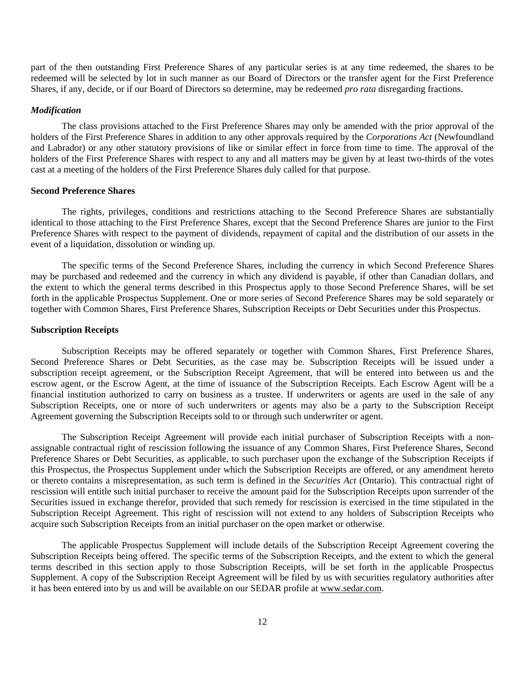part of the then outstanding First Preference Shares of any particular series is at any time redeemed, the shares to be redeemed will be selected by lot in such manner as our Board of Directors or the transfer agent for the First Preference Shares, if any, decide, or if our Board of Directors so determine, may be redeemed *pro rata* disregarding fractions.

#### *Modification*

The class provisions attached to the First Preference Shares may only be amended with the prior approval of the holders of the First Preference Shares in addition to any other approvals required by the *Corporations Act* (Newfoundland and Labrador) or any other statutory provisions of like or similar effect in force from time to time. The approval of the holders of the First Preference Shares with respect to any and all matters may be given by at least two-thirds of the votes cast at a meeting of the holders of the First Preference Shares duly called for that purpose.

#### **Second Preference Shares**

The rights, privileges, conditions and restrictions attaching to the Second Preference Shares are substantially identical to those attaching to the First Preference Shares, except that the Second Preference Shares are junior to the First Preference Shares with respect to the payment of dividends, repayment of capital and the distribution of our assets in the event of a liquidation, dissolution or winding up.

The specific terms of the Second Preference Shares, including the currency in which Second Preference Shares may be purchased and redeemed and the currency in which any dividend is payable, if other than Canadian dollars, and the extent to which the general terms described in this Prospectus apply to those Second Preference Shares, will be set forth in the applicable Prospectus Supplement. One or more series of Second Preference Shares may be sold separately or together with Common Shares, First Preference Shares, Subscription Receipts or Debt Securities under this Prospectus.

## **Subscription Receipts**

Subscription Receipts may be offered separately or together with Common Shares, First Preference Shares, Second Preference Shares or Debt Securities, as the case may be. Subscription Receipts will be issued under a subscription receipt agreement, or the Subscription Receipt Agreement, that will be entered into between us and the escrow agent, or the Escrow Agent, at the time of issuance of the Subscription Receipts. Each Escrow Agent will be a financial institution authorized to carry on business as a trustee. If underwriters or agents are used in the sale of any Subscription Receipts, one or more of such underwriters or agents may also be a party to the Subscription Receipt Agreement governing the Subscription Receipts sold to or through such underwriter or agent.

The Subscription Receipt Agreement will provide each initial purchaser of Subscription Receipts with a nonassignable contractual right of rescission following the issuance of any Common Shares, First Preference Shares, Second Preference Shares or Debt Securities, as applicable, to such purchaser upon the exchange of the Subscription Receipts if this Prospectus, the Prospectus Supplement under which the Subscription Receipts are offered, or any amendment hereto or thereto contains a misrepresentation, as such term is defined in the *Securities Act* (Ontario). This contractual right of rescission will entitle such initial purchaser to receive the amount paid for the Subscription Receipts upon surrender of the Securities issued in exchange therefor, provided that such remedy for rescission is exercised in the time stipulated in the Subscription Receipt Agreement. This right of rescission will not extend to any holders of Subscription Receipts who acquire such Subscription Receipts from an initial purchaser on the open market or otherwise.

The applicable Prospectus Supplement will include details of the Subscription Receipt Agreement covering the Subscription Receipts being offered. The specific terms of the Subscription Receipts, and the extent to which the general terms described in this section apply to those Subscription Receipts, will be set forth in the applicable Prospectus Supplement. A copy of the Subscription Receipt Agreement will be filed by us with securities regulatory authorities after it has been entered into by us and will be available on our SEDAR profile at www.sedar.com.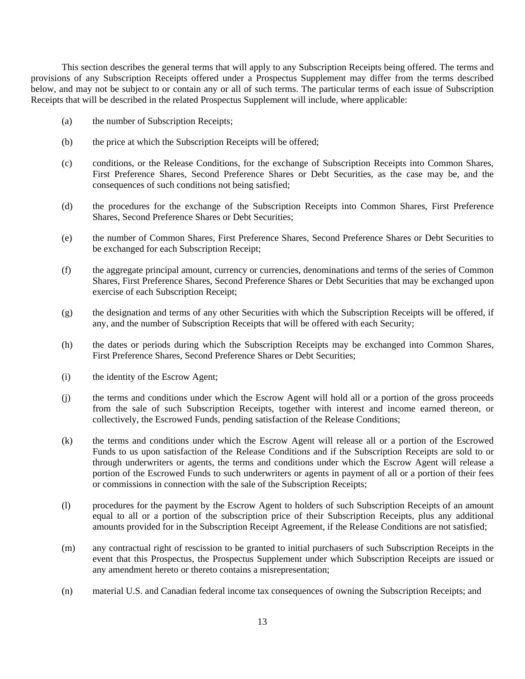This section describes the general terms that will apply to any Subscription Receipts being offered. The terms and provisions of any Subscription Receipts offered under a Prospectus Supplement may differ from the terms described below, and may not be subject to or contain any or all of such terms. The particular terms of each issue of Subscription Receipts that will be described in the related Prospectus Supplement will include, where applicable:

- (a) the number of Subscription Receipts;
- (b) the price at which the Subscription Receipts will be offered;
- (c) conditions, or the Release Conditions, for the exchange of Subscription Receipts into Common Shares, First Preference Shares, Second Preference Shares or Debt Securities, as the case may be, and the consequences of such conditions not being satisfied;
- (d) the procedures for the exchange of the Subscription Receipts into Common Shares, First Preference Shares, Second Preference Shares or Debt Securities;
- (e) the number of Common Shares, First Preference Shares, Second Preference Shares or Debt Securities to be exchanged for each Subscription Receipt;
- (f) the aggregate principal amount, currency or currencies, denominations and terms of the series of Common Shares, First Preference Shares, Second Preference Shares or Debt Securities that may be exchanged upon exercise of each Subscription Receipt;
- (g) the designation and terms of any other Securities with which the Subscription Receipts will be offered, if any, and the number of Subscription Receipts that will be offered with each Security;
- (h) the dates or periods during which the Subscription Receipts may be exchanged into Common Shares, First Preference Shares, Second Preference Shares or Debt Securities;
- (i) the identity of the Escrow Agent;
- (j) the terms and conditions under which the Escrow Agent will hold all or a portion of the gross proceeds from the sale of such Subscription Receipts, together with interest and income earned thereon, or collectively, the Escrowed Funds, pending satisfaction of the Release Conditions;
- (k) the terms and conditions under which the Escrow Agent will release all or a portion of the Escrowed Funds to us upon satisfaction of the Release Conditions and if the Subscription Receipts are sold to or through underwriters or agents, the terms and conditions under which the Escrow Agent will release a portion of the Escrowed Funds to such underwriters or agents in payment of all or a portion of their fees or commissions in connection with the sale of the Subscription Receipts;
- (l) procedures for the payment by the Escrow Agent to holders of such Subscription Receipts of an amount equal to all or a portion of the subscription price of their Subscription Receipts, plus any additional amounts provided for in the Subscription Receipt Agreement, if the Release Conditions are not satisfied;
- (m) any contractual right of rescission to be granted to initial purchasers of such Subscription Receipts in the event that this Prospectus, the Prospectus Supplement under which Subscription Receipts are issued or any amendment hereto or thereto contains a misrepresentation;
- (n) material U.S. and Canadian federal income tax consequences of owning the Subscription Receipts; and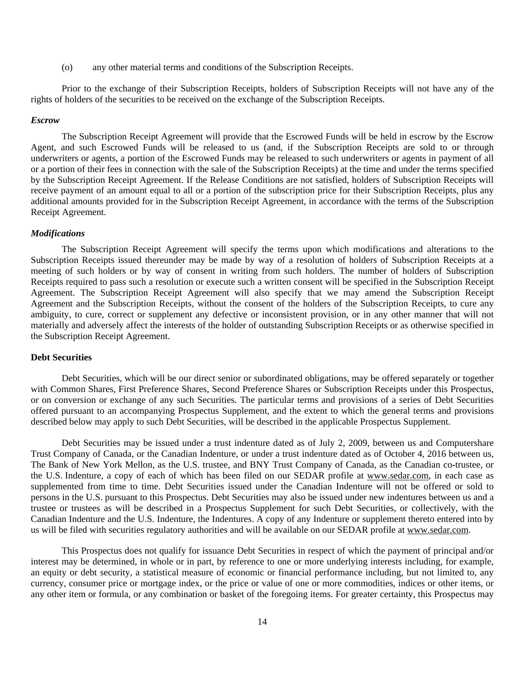(o) any other material terms and conditions of the Subscription Receipts.

Prior to the exchange of their Subscription Receipts, holders of Subscription Receipts will not have any of the rights of holders of the securities to be received on the exchange of the Subscription Receipts.

#### *Escrow*

The Subscription Receipt Agreement will provide that the Escrowed Funds will be held in escrow by the Escrow Agent, and such Escrowed Funds will be released to us (and, if the Subscription Receipts are sold to or through underwriters or agents, a portion of the Escrowed Funds may be released to such underwriters or agents in payment of all or a portion of their fees in connection with the sale of the Subscription Receipts) at the time and under the terms specified by the Subscription Receipt Agreement. If the Release Conditions are not satisfied, holders of Subscription Receipts will receive payment of an amount equal to all or a portion of the subscription price for their Subscription Receipts, plus any additional amounts provided for in the Subscription Receipt Agreement, in accordance with the terms of the Subscription Receipt Agreement.

#### *Modifications*

The Subscription Receipt Agreement will specify the terms upon which modifications and alterations to the Subscription Receipts issued thereunder may be made by way of a resolution of holders of Subscription Receipts at a meeting of such holders or by way of consent in writing from such holders. The number of holders of Subscription Receipts required to pass such a resolution or execute such a written consent will be specified in the Subscription Receipt Agreement. The Subscription Receipt Agreement will also specify that we may amend the Subscription Receipt Agreement and the Subscription Receipts, without the consent of the holders of the Subscription Receipts, to cure any ambiguity, to cure, correct or supplement any defective or inconsistent provision, or in any other manner that will not materially and adversely affect the interests of the holder of outstanding Subscription Receipts or as otherwise specified in the Subscription Receipt Agreement.

### **Debt Securities**

Debt Securities, which will be our direct senior or subordinated obligations, may be offered separately or together with Common Shares, First Preference Shares, Second Preference Shares or Subscription Receipts under this Prospectus, or on conversion or exchange of any such Securities. The particular terms and provisions of a series of Debt Securities offered pursuant to an accompanying Prospectus Supplement, and the extent to which the general terms and provisions described below may apply to such Debt Securities, will be described in the applicable Prospectus Supplement.

Debt Securities may be issued under a trust indenture dated as of July 2, 2009, between us and Computershare Trust Company of Canada, or the Canadian Indenture, or under a trust indenture dated as of October 4, 2016 between us, The Bank of New York Mellon, as the U.S. trustee, and BNY Trust Company of Canada, as the Canadian co-trustee, or the U.S. Indenture, a copy of each of which has been filed on our SEDAR profile at www.sedar.com, in each case as supplemented from time to time. Debt Securities issued under the Canadian Indenture will not be offered or sold to persons in the U.S. pursuant to this Prospectus. Debt Securities may also be issued under new indentures between us and a trustee or trustees as will be described in a Prospectus Supplement for such Debt Securities, or collectively, with the Canadian Indenture and the U.S. Indenture, the Indentures. A copy of any Indenture or supplement thereto entered into by us will be filed with securities regulatory authorities and will be available on our SEDAR profile at www.sedar.com.

This Prospectus does not qualify for issuance Debt Securities in respect of which the payment of principal and/or interest may be determined, in whole or in part, by reference to one or more underlying interests including, for example, an equity or debt security, a statistical measure of economic or financial performance including, but not limited to, any currency, consumer price or mortgage index, or the price or value of one or more commodities, indices or other items, or any other item or formula, or any combination or basket of the foregoing items. For greater certainty, this Prospectus may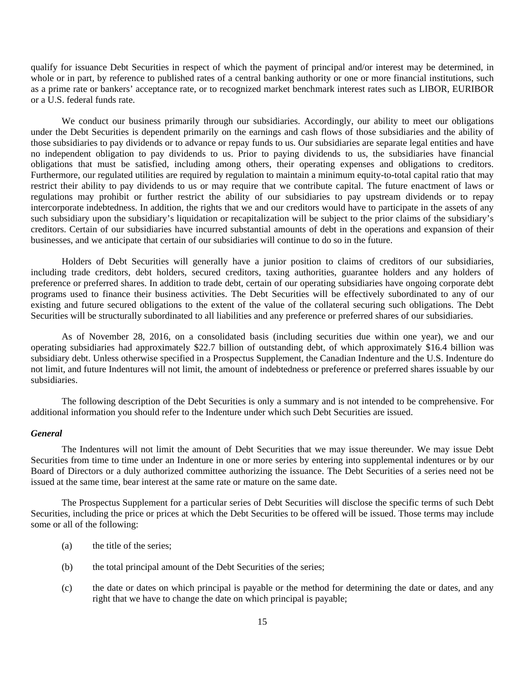qualify for issuance Debt Securities in respect of which the payment of principal and/or interest may be determined, in whole or in part, by reference to published rates of a central banking authority or one or more financial institutions, such as a prime rate or bankers' acceptance rate, or to recognized market benchmark interest rates such as LIBOR, EURIBOR or a U.S. federal funds rate.

We conduct our business primarily through our subsidiaries. Accordingly, our ability to meet our obligations under the Debt Securities is dependent primarily on the earnings and cash flows of those subsidiaries and the ability of those subsidiaries to pay dividends or to advance or repay funds to us. Our subsidiaries are separate legal entities and have no independent obligation to pay dividends to us. Prior to paying dividends to us, the subsidiaries have financial obligations that must be satisfied, including among others, their operating expenses and obligations to creditors. Furthermore, our regulated utilities are required by regulation to maintain a minimum equity-to-total capital ratio that may restrict their ability to pay dividends to us or may require that we contribute capital. The future enactment of laws or regulations may prohibit or further restrict the ability of our subsidiaries to pay upstream dividends or to repay intercorporate indebtedness. In addition, the rights that we and our creditors would have to participate in the assets of any such subsidiary upon the subsidiary's liquidation or recapitalization will be subject to the prior claims of the subsidiary's creditors. Certain of our subsidiaries have incurred substantial amounts of debt in the operations and expansion of their businesses, and we anticipate that certain of our subsidiaries will continue to do so in the future.

Holders of Debt Securities will generally have a junior position to claims of creditors of our subsidiaries, including trade creditors, debt holders, secured creditors, taxing authorities, guarantee holders and any holders of preference or preferred shares. In addition to trade debt, certain of our operating subsidiaries have ongoing corporate debt programs used to finance their business activities. The Debt Securities will be effectively subordinated to any of our existing and future secured obligations to the extent of the value of the collateral securing such obligations. The Debt Securities will be structurally subordinated to all liabilities and any preference or preferred shares of our subsidiaries.

As of November 28, 2016, on a consolidated basis (including securities due within one year), we and our operating subsidiaries had approximately \$22.7 billion of outstanding debt, of which approximately \$16.4 billion was subsidiary debt. Unless otherwise specified in a Prospectus Supplement, the Canadian Indenture and the U.S. Indenture do not limit, and future Indentures will not limit, the amount of indebtedness or preference or preferred shares issuable by our subsidiaries.

The following description of the Debt Securities is only a summary and is not intended to be comprehensive. For additional information you should refer to the Indenture under which such Debt Securities are issued.

## *General*

The Indentures will not limit the amount of Debt Securities that we may issue thereunder. We may issue Debt Securities from time to time under an Indenture in one or more series by entering into supplemental indentures or by our Board of Directors or a duly authorized committee authorizing the issuance. The Debt Securities of a series need not be issued at the same time, bear interest at the same rate or mature on the same date.

The Prospectus Supplement for a particular series of Debt Securities will disclose the specific terms of such Debt Securities, including the price or prices at which the Debt Securities to be offered will be issued. Those terms may include some or all of the following:

- (a) the title of the series;
- (b) the total principal amount of the Debt Securities of the series;
- (c) the date or dates on which principal is payable or the method for determining the date or dates, and any right that we have to change the date on which principal is payable;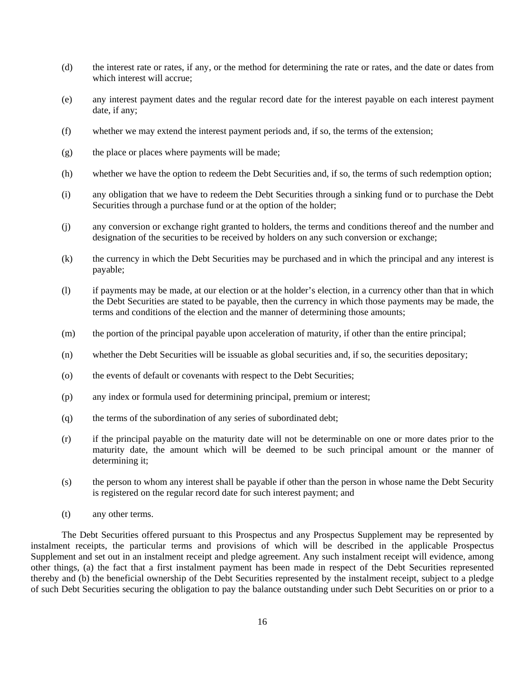- (d) the interest rate or rates, if any, or the method for determining the rate or rates, and the date or dates from which interest will accrue;
- (e) any interest payment dates and the regular record date for the interest payable on each interest payment date, if any;
- (f) whether we may extend the interest payment periods and, if so, the terms of the extension;
- (g) the place or places where payments will be made;
- (h) whether we have the option to redeem the Debt Securities and, if so, the terms of such redemption option;
- (i) any obligation that we have to redeem the Debt Securities through a sinking fund or to purchase the Debt Securities through a purchase fund or at the option of the holder;
- (j) any conversion or exchange right granted to holders, the terms and conditions thereof and the number and designation of the securities to be received by holders on any such conversion or exchange;
- (k) the currency in which the Debt Securities may be purchased and in which the principal and any interest is payable;
- (l) if payments may be made, at our election or at the holder's election, in a currency other than that in which the Debt Securities are stated to be payable, then the currency in which those payments may be made, the terms and conditions of the election and the manner of determining those amounts;
- (m) the portion of the principal payable upon acceleration of maturity, if other than the entire principal;
- (n) whether the Debt Securities will be issuable as global securities and, if so, the securities depositary;
- (o) the events of default or covenants with respect to the Debt Securities;
- (p) any index or formula used for determining principal, premium or interest;
- (q) the terms of the subordination of any series of subordinated debt;
- (r) if the principal payable on the maturity date will not be determinable on one or more dates prior to the maturity date, the amount which will be deemed to be such principal amount or the manner of determining it;
- (s) the person to whom any interest shall be payable if other than the person in whose name the Debt Security is registered on the regular record date for such interest payment; and
- (t) any other terms.

The Debt Securities offered pursuant to this Prospectus and any Prospectus Supplement may be represented by instalment receipts, the particular terms and provisions of which will be described in the applicable Prospectus Supplement and set out in an instalment receipt and pledge agreement. Any such instalment receipt will evidence, among other things, (a) the fact that a first instalment payment has been made in respect of the Debt Securities represented thereby and (b) the beneficial ownership of the Debt Securities represented by the instalment receipt, subject to a pledge of such Debt Securities securing the obligation to pay the balance outstanding under such Debt Securities on or prior to a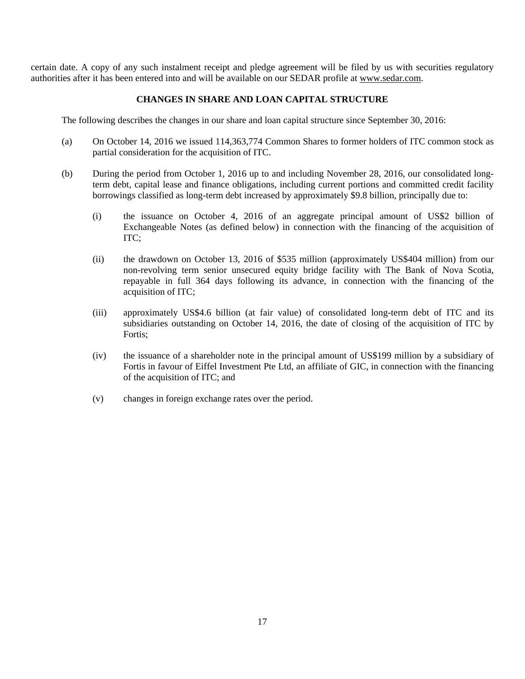certain date. A copy of any such instalment receipt and pledge agreement will be filed by us with securities regulatory authorities after it has been entered into and will be available on our SEDAR profile at www.sedar.com.

## **CHANGES IN SHARE AND LOAN CAPITAL STRUCTURE**

The following describes the changes in our share and loan capital structure since September 30, 2016:

- (a) On October 14, 2016 we issued 114,363,774 Common Shares to former holders of ITC common stock as partial consideration for the acquisition of ITC.
- (b) During the period from October 1, 2016 up to and including November 28, 2016, our consolidated longterm debt, capital lease and finance obligations, including current portions and committed credit facility borrowings classified as long-term debt increased by approximately \$9.8 billion, principally due to:
	- (i) the issuance on October 4, 2016 of an aggregate principal amount of US\$2 billion of Exchangeable Notes (as defined below) in connection with the financing of the acquisition of ITC;
	- (ii) the drawdown on October 13, 2016 of \$535 million (approximately US\$404 million) from our non-revolving term senior unsecured equity bridge facility with The Bank of Nova Scotia, repayable in full 364 days following its advance, in connection with the financing of the acquisition of ITC;
	- (iii) approximately US\$4.6 billion (at fair value) of consolidated long-term debt of ITC and its subsidiaries outstanding on October 14, 2016, the date of closing of the acquisition of ITC by Fortis:
	- (iv) the issuance of a shareholder note in the principal amount of US\$199 million by a subsidiary of Fortis in favour of Eiffel Investment Pte Ltd, an affiliate of GIC, in connection with the financing of the acquisition of ITC; and
	- (v) changes in foreign exchange rates over the period.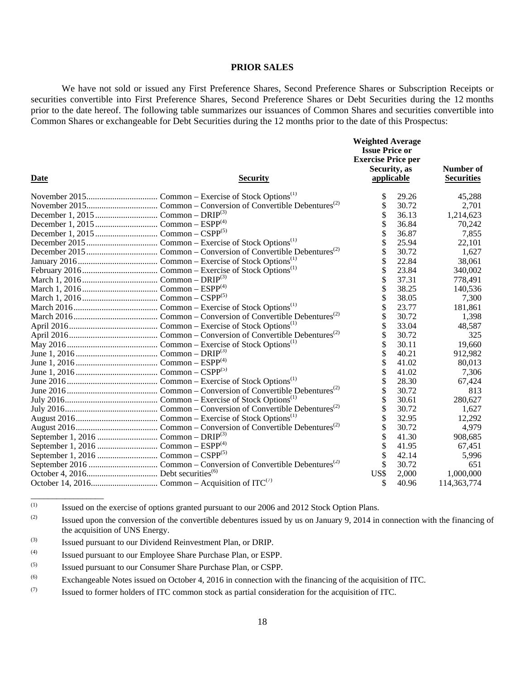#### **PRIOR SALES**

We have not sold or issued any First Preference Shares, Second Preference Shares or Subscription Receipts or securities convertible into First Preference Shares, Second Preference Shares or Debt Securities during the 12 months prior to the date hereof. The following table summarizes our issuances of Common Shares and securities convertible into Common Shares or exchangeable for Debt Securities during the 12 months prior to the date of this Prospectus:

| Date | <b>Security</b> | <b>Weighted Average</b><br><b>Issue Price or</b><br><b>Exercise Price per</b><br>Security, as<br>applicable |       | Number of<br><b>Securities</b> |
|------|-----------------|-------------------------------------------------------------------------------------------------------------|-------|--------------------------------|
|      |                 | \$                                                                                                          | 29.26 | 45,288                         |
|      |                 | \$                                                                                                          | 30.72 | 2,701                          |
|      |                 |                                                                                                             | 36.13 | 1,214,623                      |
|      |                 |                                                                                                             | 36.84 | 70,242                         |
|      |                 |                                                                                                             | 36.87 | 7,855                          |
|      |                 |                                                                                                             | 25.94 | 22,101                         |
|      |                 | \$                                                                                                          | 30.72 | 1,627                          |
|      |                 | \$                                                                                                          | 22.84 | 38,061                         |
|      |                 | \$                                                                                                          | 23.84 | 340,002                        |
|      |                 | \$                                                                                                          | 37.31 | 778,491                        |
|      |                 | \$                                                                                                          | 38.25 | 140,536                        |
|      |                 | \$                                                                                                          | 38.05 | 7,300                          |
|      |                 | \$                                                                                                          | 23.77 | 181,861                        |
|      |                 | \$                                                                                                          | 30.72 | 1,398                          |
|      |                 | \$                                                                                                          | 33.04 | 48,587                         |
|      |                 | \$                                                                                                          | 30.72 | 325                            |
|      |                 | \$                                                                                                          | 30.11 | 19,660                         |
|      |                 | \$                                                                                                          | 40.21 | 912,982                        |
|      |                 |                                                                                                             | 41.02 | 80.013                         |
|      |                 |                                                                                                             | 41.02 | 7,306                          |
|      |                 | \$                                                                                                          | 28.30 | 67,424                         |
|      |                 |                                                                                                             | 30.72 | 813                            |
|      |                 | \$                                                                                                          | 30.61 | 280,627                        |
|      |                 | \$                                                                                                          | 30.72 | 1,627                          |
|      |                 | \$                                                                                                          | 32.95 | 12,292                         |
|      |                 | \$                                                                                                          | 30.72 | 4,979                          |
|      |                 | \$                                                                                                          | 41.30 | 908,685                        |
|      |                 |                                                                                                             | 41.95 | 67,451                         |
|      |                 |                                                                                                             | 42.14 | 5,996                          |
|      |                 | \$                                                                                                          | 30.72 | 651                            |
|      |                 | US\$                                                                                                        | 2,000 | 1.000.000                      |
|      |                 | \$                                                                                                          | 40.96 | 114,363,774                    |

<sup>(1)</sup> Issued on the exercise of options granted pursuant to our 2006 and 2012 Stock Option Plans.

\_\_\_\_\_\_\_\_\_\_\_\_\_\_\_\_\_

 $(2)$  Issued upon the conversion of the convertible debentures issued by us on January 9, 2014 in connection with the financing of the acquisition of UNS Energy.

<sup>(3)</sup> Issued pursuant to our Dividend Reinvestment Plan, or DRIP.

<sup>(4)</sup> Issued pursuant to our Employee Share Purchase Plan, or ESPP.

<sup>(5)</sup> Issued pursuant to our Consumer Share Purchase Plan, or CSPP.

<sup>(6)</sup> Exchangeable Notes issued on October 4, 2016 in connection with the financing of the acquisition of ITC.

 $(7)$  Issued to former holders of ITC common stock as partial consideration for the acquisition of ITC.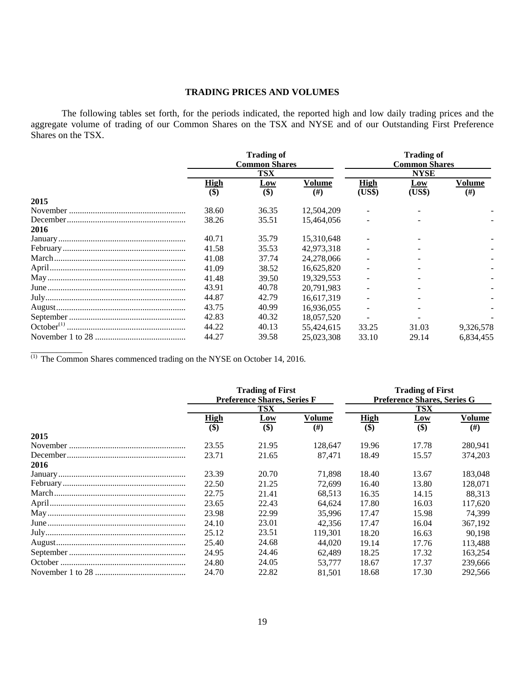## **TRADING PRICES AND VOLUMES**

The following tables set forth, for the periods indicated, the reported high and low daily trading prices and the aggregate volume of trading of our Common Shares on the TSX and NYSE and of our Outstanding First Preference Shares on the TSX.

|      | <b>Trading of</b><br><b>Common Shares</b> |             |            | <b>Trading of</b><br><b>Common Shares</b> |        |           |
|------|-------------------------------------------|-------------|------------|-------------------------------------------|--------|-----------|
|      |                                           |             |            |                                           |        |           |
|      |                                           | TSX         |            | <b>NYSE</b>                               |        |           |
|      | <u>High</u>                               | <u> Low</u> | Volume     | <b>High</b>                               | Low    | Volume    |
|      | $($ \$)                                   | \$)         | (# )       | (US\$)                                    | (US\$) | #)        |
| 2015 |                                           |             |            |                                           |        |           |
|      | 38.60                                     | 36.35       | 12,504,209 |                                           |        |           |
|      | 38.26                                     | 35.51       | 15.464,056 |                                           |        |           |
| 2016 |                                           |             |            |                                           |        |           |
|      | 40.71                                     | 35.79       | 15.310.648 |                                           |        |           |
|      | 41.58                                     | 35.53       | 42,973,318 | $\overline{\phantom{a}}$                  |        |           |
|      | 41.08                                     | 37.74       | 24,278,066 |                                           |        |           |
|      | 41.09                                     | 38.52       | 16,625,820 |                                           |        |           |
|      | 41.48                                     | 39.50       | 19.329.553 |                                           |        |           |
|      | 43.91                                     | 40.78       | 20.791.983 |                                           |        |           |
|      | 44.87                                     | 42.79       | 16,617,319 |                                           |        |           |
|      | 43.75                                     | 40.99       | 16,936,055 |                                           |        |           |
|      | 42.83                                     | 40.32       | 18,057,520 |                                           |        |           |
|      | 44.22                                     | 40.13       | 55.424,615 | 33.25                                     | 31.03  | 9,326,578 |
|      | 44.27                                     | 39.58       | 25,023,308 | 33.10                                     | 29.14  | 6.834.455 |

 $(1)$  The Common Shares commenced trading on the NYSE on October 14, 2016.

\_\_\_\_\_\_\_\_\_\_\_\_

|      | <b>Trading of First</b><br><b>Preference Shares, Series F</b> |                  |         | <b>Trading of First</b><br><b>Preference Shares, Series G</b> |            |         |
|------|---------------------------------------------------------------|------------------|---------|---------------------------------------------------------------|------------|---------|
|      |                                                               |                  |         |                                                               |            |         |
|      |                                                               | TSX              |         | TSX                                                           |            |         |
|      | <b>High</b>                                                   | <u>Low</u>       | Volume  | <u>High</u>                                                   | <u>Low</u> | Volume  |
|      | $\overline{(\$)}$                                             | $\overline{(*)}$ | #)      | $\overline{(\$)}$                                             | \$)        | $(\#)$  |
| 2015 |                                                               |                  |         |                                                               |            |         |
|      | 23.55                                                         | 21.95            | 128,647 | 19.96                                                         | 17.78      | 280,941 |
|      | 23.71                                                         | 21.65            | 87.471  | 18.49                                                         | 15.57      | 374,203 |
| 2016 |                                                               |                  |         |                                                               |            |         |
|      | 23.39                                                         | 20.70            | 71,898  | 18.40                                                         | 13.67      | 183,048 |
|      | 22.50                                                         | 21.25            | 72.699  | 16.40                                                         | 13.80      | 128,071 |
|      | 22.75                                                         | 21.41            | 68.513  | 16.35                                                         | 14.15      | 88,313  |
|      | 23.65                                                         | 22.43            | 64,624  | 17.80                                                         | 16.03      | 117,620 |
|      | 23.98                                                         | 22.99            | 35.996  | 17.47                                                         | 15.98      | 74,399  |
|      | 24.10                                                         | 23.01            | 42,356  | 17.47                                                         | 16.04      | 367,192 |
|      | 25.12                                                         | 23.51            | 119.301 | 18.20                                                         | 16.63      | 90,198  |
|      | 25.40                                                         | 24.68            | 44,020  | 19.14                                                         | 17.76      | 113,488 |
|      | 24.95                                                         | 24.46            | 62,489  | 18.25                                                         | 17.32      | 163,254 |
|      | 24.80                                                         | 24.05            | 53,777  | 18.67                                                         | 17.37      | 239,666 |
|      | 24.70                                                         | 22.82            | 81,501  | 18.68                                                         | 17.30      | 292,566 |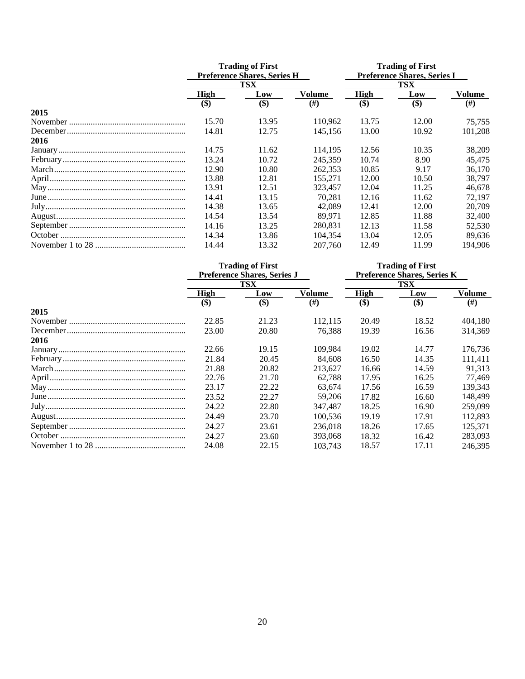|      | <b>Trading of First</b><br><b>Preference Shares, Series H</b><br><b>TSX</b> |       |          | <b>Trading of First</b><br><b>Preference Shares, Series I</b> |       |         |
|------|-----------------------------------------------------------------------------|-------|----------|---------------------------------------------------------------|-------|---------|
|      |                                                                             |       |          |                                                               |       |         |
|      | High                                                                        | Low   | Volume   | High                                                          | Low   | Volume  |
|      | \$)                                                                         | \$)   | $^{(#)}$ | \$)                                                           | \$)   | (#)     |
| 2015 |                                                                             |       |          |                                                               |       |         |
|      | 15.70                                                                       | 13.95 | 110,962  | 13.75                                                         | 12.00 | 75,755  |
|      | 14.81                                                                       | 12.75 | 145.156  | 13.00                                                         | 10.92 | 101,208 |
| 2016 |                                                                             |       |          |                                                               |       |         |
|      | 14.75                                                                       | 11.62 | 114,195  | 12.56                                                         | 10.35 | 38,209  |
|      | 13.24                                                                       | 10.72 | 245,359  | 10.74                                                         | 8.90  | 45,475  |
|      | 12.90                                                                       | 10.80 | 262,353  | 10.85                                                         | 9.17  | 36,170  |
|      | 13.88                                                                       | 12.81 | 155.271  | 12.00                                                         | 10.50 | 38,797  |
|      | 13.91                                                                       | 12.51 | 323,457  | 12.04                                                         | 11.25 | 46,678  |
|      | 14.41                                                                       | 13.15 | 70.281   | 12.16                                                         | 11.62 | 72,197  |
|      | 14.38                                                                       | 13.65 | 42,089   | 12.41                                                         | 12.00 | 20,709  |
|      | 14.54                                                                       | 13.54 | 89,971   | 12.85                                                         | 11.88 | 32,400  |
|      | 14.16                                                                       | 13.25 | 280.831  | 12.13                                                         | 11.58 | 52,530  |
|      | 14.34                                                                       | 13.86 | 104.354  | 13.04                                                         | 12.05 | 89,636  |
|      | 14.44                                                                       | 13.32 | 207,760  | 12.49                                                         | 11.99 | 194,906 |

|      | <b>Trading of First</b>            |            |               | <b>Trading of First</b>            |       |          |
|------|------------------------------------|------------|---------------|------------------------------------|-------|----------|
|      | <b>Preference Shares, Series J</b> |            |               | <b>Preference Shares, Series K</b> |       |          |
|      |                                    | <b>TSX</b> |               | TSX                                |       |          |
|      | High                               | Low        | <b>Volume</b> | <b>High</b>                        | Low   | Volume   |
|      | \$)                                | \$)        | $^{(#)}$      | \$)                                | \$)   | $^{(#)}$ |
| 2015 |                                    |            |               |                                    |       |          |
|      | 22.85                              | 21.23      | 112,115       | 20.49                              | 18.52 | 404,180  |
|      | 23.00                              | 20.80      | 76.388        | 19.39                              | 16.56 | 314,369  |
| 2016 |                                    |            |               |                                    |       |          |
|      | 22.66                              | 19.15      | 109,984       | 19.02                              | 14.77 | 176,736  |
|      | 21.84                              | 20.45      | 84,608        | 16.50                              | 14.35 | 111.411  |
|      | 21.88                              | 20.82      | 213.627       | 16.66                              | 14.59 | 91,313   |
|      | 22.76                              | 21.70      | 62.788        | 17.95                              | 16.25 | 77,469   |
|      | 23.17                              | 22.22      | 63,674        | 17.56                              | 16.59 | 139,343  |
|      | 23.52                              | 22.27      | 59,206        | 17.82                              | 16.60 | 148,499  |
|      | 24.22                              | 22.80      | 347.487       | 18.25                              | 16.90 | 259,099  |
|      | 24.49                              | 23.70      | 100,536       | 19.19                              | 17.91 | 112,893  |
|      | 24.27                              | 23.61      | 236,018       | 18.26                              | 17.65 | 125,371  |
|      | 24.27                              | 23.60      | 393,068       | 18.32                              | 16.42 | 283,093  |
|      | 24.08                              | 22.15      | 103,743       | 18.57                              | 17.11 | 246,395  |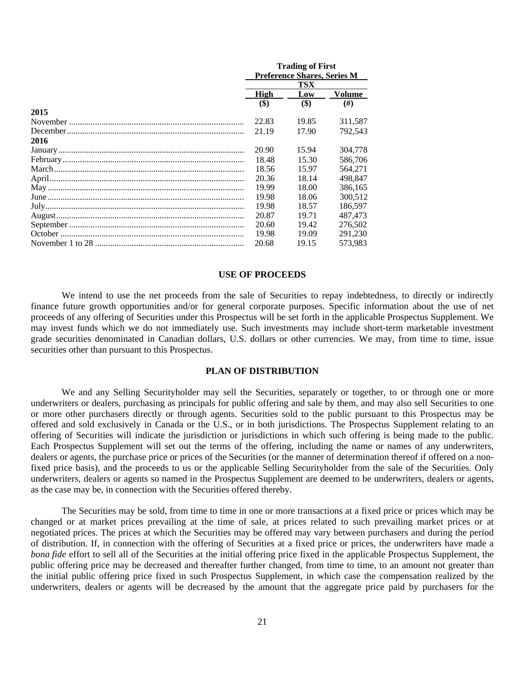|          | <b>Trading of First</b>            |       |         |  |
|----------|------------------------------------|-------|---------|--|
|          | <b>Preference Shares, Series M</b> |       |         |  |
|          |                                    | TSX   |         |  |
|          | High                               | Low   | Volume  |  |
|          | $($)$                              | $($)$ | #)      |  |
| 2015     |                                    |       |         |  |
| November | 22.83                              | 19.85 | 311,587 |  |
|          | 21.19                              | 17.90 | 792.543 |  |
| 2016     |                                    |       |         |  |
|          | 20.90                              | 15.94 | 304,778 |  |
|          | 18.48                              | 15.30 | 586.706 |  |
|          | 18.56                              | 15.97 | 564,271 |  |
|          | 20.36                              | 18.14 | 498.847 |  |
|          | 19.99                              | 18.00 | 386.165 |  |
|          | 19.98                              | 18.06 | 300,512 |  |
|          | 19.98                              | 18.57 | 186,597 |  |
|          | 20.87                              | 19.71 | 487.473 |  |
|          | 20.60                              | 19.42 | 276,502 |  |
|          | 19.98                              | 19.09 | 291.230 |  |
|          | 20.68                              | 19.15 | 573.983 |  |

## **USE OF PROCEEDS**

We intend to use the net proceeds from the sale of Securities to repay indebtedness, to directly or indirectly finance future growth opportunities and/or for general corporate purposes. Specific information about the use of net proceeds of any offering of Securities under this Prospectus will be set forth in the applicable Prospectus Supplement. We may invest funds which we do not immediately use. Such investments may include short-term marketable investment grade securities denominated in Canadian dollars, U.S. dollars or other currencies. We may, from time to time, issue securities other than pursuant to this Prospectus.

#### **PLAN OF DISTRIBUTION**

We and any Selling Securityholder may sell the Securities, separately or together, to or through one or more underwriters or dealers, purchasing as principals for public offering and sale by them, and may also sell Securities to one or more other purchasers directly or through agents. Securities sold to the public pursuant to this Prospectus may be offered and sold exclusively in Canada or the U.S., or in both jurisdictions. The Prospectus Supplement relating to an offering of Securities will indicate the jurisdiction or jurisdictions in which such offering is being made to the public. Each Prospectus Supplement will set out the terms of the offering, including the name or names of any underwriters, dealers or agents, the purchase price or prices of the Securities (or the manner of determination thereof if offered on a nonfixed price basis), and the proceeds to us or the applicable Selling Securityholder from the sale of the Securities. Only underwriters, dealers or agents so named in the Prospectus Supplement are deemed to be underwriters, dealers or agents, as the case may be, in connection with the Securities offered thereby.

The Securities may be sold, from time to time in one or more transactions at a fixed price or prices which may be changed or at market prices prevailing at the time of sale, at prices related to such prevailing market prices or at negotiated prices. The prices at which the Securities may be offered may vary between purchasers and during the period of distribution. If, in connection with the offering of Securities at a fixed price or prices, the underwriters have made a *bona fide* effort to sell all of the Securities at the initial offering price fixed in the applicable Prospectus Supplement, the public offering price may be decreased and thereafter further changed, from time to time, to an amount not greater than the initial public offering price fixed in such Prospectus Supplement, in which case the compensation realized by the underwriters, dealers or agents will be decreased by the amount that the aggregate price paid by purchasers for the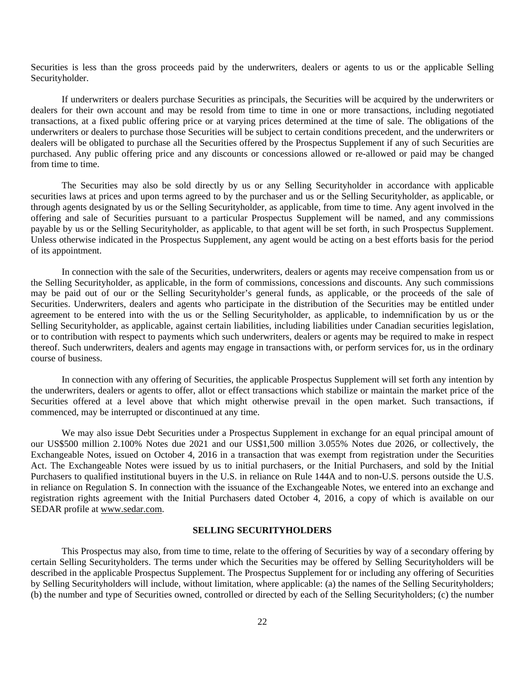Securities is less than the gross proceeds paid by the underwriters, dealers or agents to us or the applicable Selling Securityholder.

If underwriters or dealers purchase Securities as principals, the Securities will be acquired by the underwriters or dealers for their own account and may be resold from time to time in one or more transactions, including negotiated transactions, at a fixed public offering price or at varying prices determined at the time of sale. The obligations of the underwriters or dealers to purchase those Securities will be subject to certain conditions precedent, and the underwriters or dealers will be obligated to purchase all the Securities offered by the Prospectus Supplement if any of such Securities are purchased. Any public offering price and any discounts or concessions allowed or re-allowed or paid may be changed from time to time.

The Securities may also be sold directly by us or any Selling Securityholder in accordance with applicable securities laws at prices and upon terms agreed to by the purchaser and us or the Selling Securityholder, as applicable, or through agents designated by us or the Selling Securityholder, as applicable, from time to time. Any agent involved in the offering and sale of Securities pursuant to a particular Prospectus Supplement will be named, and any commissions payable by us or the Selling Securityholder, as applicable, to that agent will be set forth, in such Prospectus Supplement. Unless otherwise indicated in the Prospectus Supplement, any agent would be acting on a best efforts basis for the period of its appointment.

In connection with the sale of the Securities, underwriters, dealers or agents may receive compensation from us or the Selling Securityholder, as applicable, in the form of commissions, concessions and discounts. Any such commissions may be paid out of our or the Selling Securityholder's general funds, as applicable, or the proceeds of the sale of Securities. Underwriters, dealers and agents who participate in the distribution of the Securities may be entitled under agreement to be entered into with the us or the Selling Securityholder, as applicable, to indemnification by us or the Selling Securityholder, as applicable, against certain liabilities, including liabilities under Canadian securities legislation, or to contribution with respect to payments which such underwriters, dealers or agents may be required to make in respect thereof. Such underwriters, dealers and agents may engage in transactions with, or perform services for, us in the ordinary course of business.

In connection with any offering of Securities, the applicable Prospectus Supplement will set forth any intention by the underwriters, dealers or agents to offer, allot or effect transactions which stabilize or maintain the market price of the Securities offered at a level above that which might otherwise prevail in the open market. Such transactions, if commenced, may be interrupted or discontinued at any time.

We may also issue Debt Securities under a Prospectus Supplement in exchange for an equal principal amount of our US\$500 million 2.100% Notes due 2021 and our US\$1,500 million 3.055% Notes due 2026, or collectively, the Exchangeable Notes, issued on October 4, 2016 in a transaction that was exempt from registration under the Securities Act. The Exchangeable Notes were issued by us to initial purchasers, or the Initial Purchasers, and sold by the Initial Purchasers to qualified institutional buyers in the U.S. in reliance on Rule 144A and to non-U.S. persons outside the U.S. in reliance on Regulation S. In connection with the issuance of the Exchangeable Notes, we entered into an exchange and registration rights agreement with the Initial Purchasers dated October 4, 2016, a copy of which is available on our SEDAR profile at www.sedar.com.

## **SELLING SECURITYHOLDERS**

This Prospectus may also, from time to time, relate to the offering of Securities by way of a secondary offering by certain Selling Securityholders. The terms under which the Securities may be offered by Selling Securityholders will be described in the applicable Prospectus Supplement. The Prospectus Supplement for or including any offering of Securities by Selling Securityholders will include, without limitation, where applicable: (a) the names of the Selling Securityholders; (b) the number and type of Securities owned, controlled or directed by each of the Selling Securityholders; (c) the number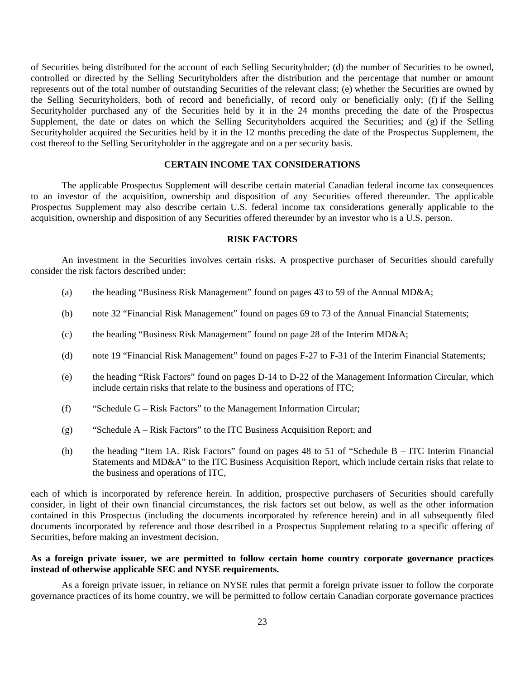of Securities being distributed for the account of each Selling Securityholder; (d) the number of Securities to be owned, controlled or directed by the Selling Securityholders after the distribution and the percentage that number or amount represents out of the total number of outstanding Securities of the relevant class; (e) whether the Securities are owned by the Selling Securityholders, both of record and beneficially, of record only or beneficially only; (f) if the Selling Securityholder purchased any of the Securities held by it in the 24 months preceding the date of the Prospectus Supplement, the date or dates on which the Selling Securityholders acquired the Securities; and (g) if the Selling Securityholder acquired the Securities held by it in the 12 months preceding the date of the Prospectus Supplement, the cost thereof to the Selling Securityholder in the aggregate and on a per security basis.

## **CERTAIN INCOME TAX CONSIDERATIONS**

The applicable Prospectus Supplement will describe certain material Canadian federal income tax consequences to an investor of the acquisition, ownership and disposition of any Securities offered thereunder. The applicable Prospectus Supplement may also describe certain U.S. federal income tax considerations generally applicable to the acquisition, ownership and disposition of any Securities offered thereunder by an investor who is a U.S. person.

#### **RISK FACTORS**

An investment in the Securities involves certain risks. A prospective purchaser of Securities should carefully consider the risk factors described under:

- (a) the heading "Business Risk Management" found on pages 43 to 59 of the Annual MD&A;
- (b) note 32 "Financial Risk Management" found on pages 69 to 73 of the Annual Financial Statements;
- (c) the heading "Business Risk Management" found on page 28 of the Interim MD&A;
- (d) note 19 "Financial Risk Management" found on pages F-27 to F-31 of the Interim Financial Statements;
- (e) the heading "Risk Factors" found on pages D-14 to D-22 of the Management Information Circular, which include certain risks that relate to the business and operations of ITC;
- (f) "Schedule G Risk Factors" to the Management Information Circular;
- (g) "Schedule A Risk Factors" to the ITC Business Acquisition Report; and
- (h) the heading "Item 1A. Risk Factors" found on pages 48 to 51 of "Schedule B ITC Interim Financial Statements and MD&A" to the ITC Business Acquisition Report, which include certain risks that relate to the business and operations of ITC,

each of which is incorporated by reference herein. In addition, prospective purchasers of Securities should carefully consider, in light of their own financial circumstances, the risk factors set out below, as well as the other information contained in this Prospectus (including the documents incorporated by reference herein) and in all subsequently filed documents incorporated by reference and those described in a Prospectus Supplement relating to a specific offering of Securities, before making an investment decision.

## **As a foreign private issuer, we are permitted to follow certain home country corporate governance practices instead of otherwise applicable SEC and NYSE requirements.**

As a foreign private issuer, in reliance on NYSE rules that permit a foreign private issuer to follow the corporate governance practices of its home country, we will be permitted to follow certain Canadian corporate governance practices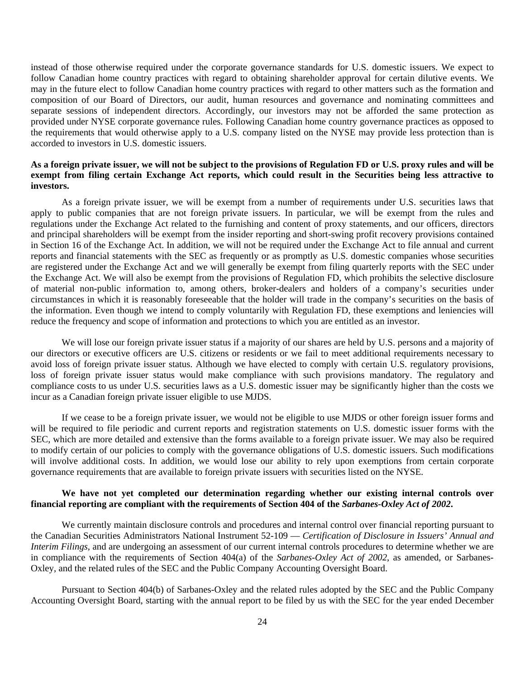instead of those otherwise required under the corporate governance standards for U.S. domestic issuers. We expect to follow Canadian home country practices with regard to obtaining shareholder approval for certain dilutive events. We may in the future elect to follow Canadian home country practices with regard to other matters such as the formation and composition of our Board of Directors, our audit, human resources and governance and nominating committees and separate sessions of independent directors. Accordingly, our investors may not be afforded the same protection as provided under NYSE corporate governance rules. Following Canadian home country governance practices as opposed to the requirements that would otherwise apply to a U.S. company listed on the NYSE may provide less protection than is accorded to investors in U.S. domestic issuers.

## **As a foreign private issuer, we will not be subject to the provisions of Regulation FD or U.S. proxy rules and will be exempt from filing certain Exchange Act reports, which could result in the Securities being less attractive to investors.**

As a foreign private issuer, we will be exempt from a number of requirements under U.S. securities laws that apply to public companies that are not foreign private issuers. In particular, we will be exempt from the rules and regulations under the Exchange Act related to the furnishing and content of proxy statements, and our officers, directors and principal shareholders will be exempt from the insider reporting and short-swing profit recovery provisions contained in Section 16 of the Exchange Act. In addition, we will not be required under the Exchange Act to file annual and current reports and financial statements with the SEC as frequently or as promptly as U.S. domestic companies whose securities are registered under the Exchange Act and we will generally be exempt from filing quarterly reports with the SEC under the Exchange Act. We will also be exempt from the provisions of Regulation FD, which prohibits the selective disclosure of material non-public information to, among others, broker-dealers and holders of a company's securities under circumstances in which it is reasonably foreseeable that the holder will trade in the company's securities on the basis of the information. Even though we intend to comply voluntarily with Regulation FD, these exemptions and leniencies will reduce the frequency and scope of information and protections to which you are entitled as an investor.

We will lose our foreign private issuer status if a majority of our shares are held by U.S. persons and a majority of our directors or executive officers are U.S. citizens or residents or we fail to meet additional requirements necessary to avoid loss of foreign private issuer status. Although we have elected to comply with certain U.S. regulatory provisions, loss of foreign private issuer status would make compliance with such provisions mandatory. The regulatory and compliance costs to us under U.S. securities laws as a U.S. domestic issuer may be significantly higher than the costs we incur as a Canadian foreign private issuer eligible to use MJDS.

If we cease to be a foreign private issuer, we would not be eligible to use MJDS or other foreign issuer forms and will be required to file periodic and current reports and registration statements on U.S. domestic issuer forms with the SEC, which are more detailed and extensive than the forms available to a foreign private issuer. We may also be required to modify certain of our policies to comply with the governance obligations of U.S. domestic issuers. Such modifications will involve additional costs. In addition, we would lose our ability to rely upon exemptions from certain corporate governance requirements that are available to foreign private issuers with securities listed on the NYSE.

## **We have not yet completed our determination regarding whether our existing internal controls over financial reporting are compliant with the requirements of Section 404 of the** *Sarbanes-Oxley Act of 2002***.**

We currently maintain disclosure controls and procedures and internal control over financial reporting pursuant to the Canadian Securities Administrators National Instrument 52-109 — *Certification of Disclosure in Issuers' Annual and Interim Filings*, and are undergoing an assessment of our current internal controls procedures to determine whether we are in compliance with the requirements of Section 404(a) of the *Sarbanes-Oxley Act of 2002*, as amended, or Sarbanes-Oxley, and the related rules of the SEC and the Public Company Accounting Oversight Board.

Pursuant to Section 404(b) of Sarbanes-Oxley and the related rules adopted by the SEC and the Public Company Accounting Oversight Board, starting with the annual report to be filed by us with the SEC for the year ended December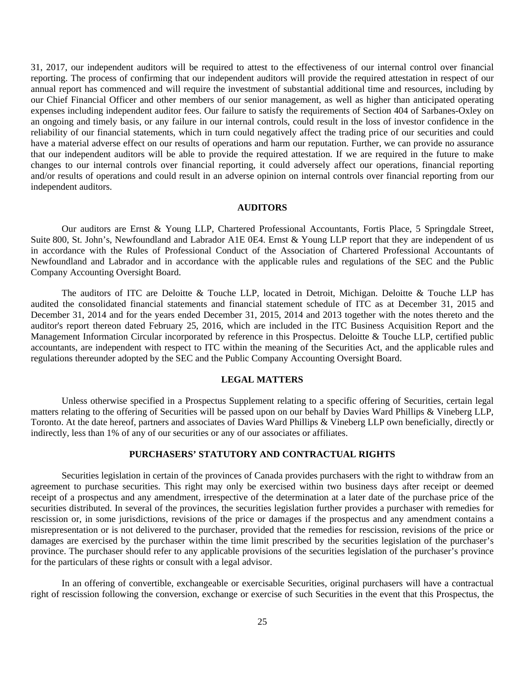31, 2017, our independent auditors will be required to attest to the effectiveness of our internal control over financial reporting. The process of confirming that our independent auditors will provide the required attestation in respect of our annual report has commenced and will require the investment of substantial additional time and resources, including by our Chief Financial Officer and other members of our senior management, as well as higher than anticipated operating expenses including independent auditor fees. Our failure to satisfy the requirements of Section 404 of Sarbanes-Oxley on an ongoing and timely basis, or any failure in our internal controls, could result in the loss of investor confidence in the reliability of our financial statements, which in turn could negatively affect the trading price of our securities and could have a material adverse effect on our results of operations and harm our reputation. Further, we can provide no assurance that our independent auditors will be able to provide the required attestation. If we are required in the future to make changes to our internal controls over financial reporting, it could adversely affect our operations, financial reporting and/or results of operations and could result in an adverse opinion on internal controls over financial reporting from our independent auditors.

## **AUDITORS**

Our auditors are Ernst & Young LLP, Chartered Professional Accountants, Fortis Place, 5 Springdale Street, Suite 800, St. John's, Newfoundland and Labrador A1E 0E4. Ernst & Young LLP report that they are independent of us in accordance with the Rules of Professional Conduct of the Association of Chartered Professional Accountants of Newfoundland and Labrador and in accordance with the applicable rules and regulations of the SEC and the Public Company Accounting Oversight Board.

The auditors of ITC are Deloitte & Touche LLP, located in Detroit, Michigan. Deloitte & Touche LLP has audited the consolidated financial statements and financial statement schedule of ITC as at December 31, 2015 and December 31, 2014 and for the years ended December 31, 2015, 2014 and 2013 together with the notes thereto and the auditor's report thereon dated February 25, 2016, which are included in the ITC Business Acquisition Report and the Management Information Circular incorporated by reference in this Prospectus. Deloitte & Touche LLP, certified public accountants, are independent with respect to ITC within the meaning of the Securities Act, and the applicable rules and regulations thereunder adopted by the SEC and the Public Company Accounting Oversight Board.

## **LEGAL MATTERS**

Unless otherwise specified in a Prospectus Supplement relating to a specific offering of Securities, certain legal matters relating to the offering of Securities will be passed upon on our behalf by Davies Ward Phillips & Vineberg LLP, Toronto. At the date hereof, partners and associates of Davies Ward Phillips & Vineberg LLP own beneficially, directly or indirectly, less than 1% of any of our securities or any of our associates or affiliates.

## **PURCHASERS' STATUTORY AND CONTRACTUAL RIGHTS**

Securities legislation in certain of the provinces of Canada provides purchasers with the right to withdraw from an agreement to purchase securities. This right may only be exercised within two business days after receipt or deemed receipt of a prospectus and any amendment, irrespective of the determination at a later date of the purchase price of the securities distributed. In several of the provinces, the securities legislation further provides a purchaser with remedies for rescission or, in some jurisdictions, revisions of the price or damages if the prospectus and any amendment contains a misrepresentation or is not delivered to the purchaser, provided that the remedies for rescission, revisions of the price or damages are exercised by the purchaser within the time limit prescribed by the securities legislation of the purchaser's province. The purchaser should refer to any applicable provisions of the securities legislation of the purchaser's province for the particulars of these rights or consult with a legal advisor.

In an offering of convertible, exchangeable or exercisable Securities, original purchasers will have a contractual right of rescission following the conversion, exchange or exercise of such Securities in the event that this Prospectus, the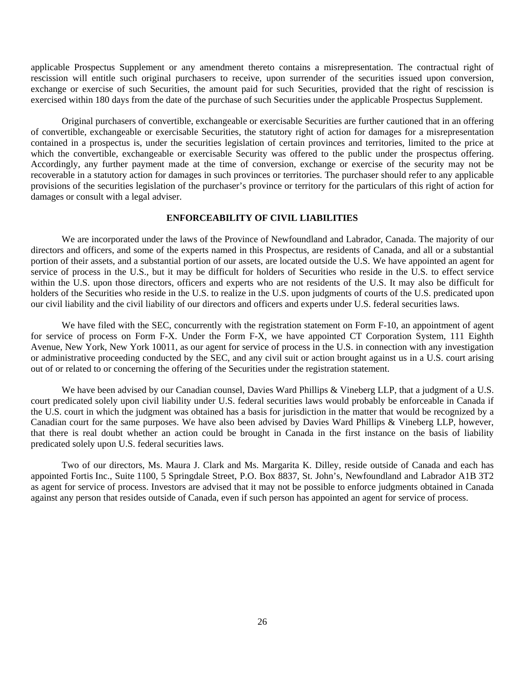applicable Prospectus Supplement or any amendment thereto contains a misrepresentation. The contractual right of rescission will entitle such original purchasers to receive, upon surrender of the securities issued upon conversion, exchange or exercise of such Securities, the amount paid for such Securities, provided that the right of rescission is exercised within 180 days from the date of the purchase of such Securities under the applicable Prospectus Supplement.

Original purchasers of convertible, exchangeable or exercisable Securities are further cautioned that in an offering of convertible, exchangeable or exercisable Securities, the statutory right of action for damages for a misrepresentation contained in a prospectus is, under the securities legislation of certain provinces and territories, limited to the price at which the convertible, exchangeable or exercisable Security was offered to the public under the prospectus offering. Accordingly, any further payment made at the time of conversion, exchange or exercise of the security may not be recoverable in a statutory action for damages in such provinces or territories. The purchaser should refer to any applicable provisions of the securities legislation of the purchaser's province or territory for the particulars of this right of action for damages or consult with a legal adviser.

## **ENFORCEABILITY OF CIVIL LIABILITIES**

We are incorporated under the laws of the Province of Newfoundland and Labrador, Canada. The majority of our directors and officers, and some of the experts named in this Prospectus, are residents of Canada, and all or a substantial portion of their assets, and a substantial portion of our assets, are located outside the U.S. We have appointed an agent for service of process in the U.S., but it may be difficult for holders of Securities who reside in the U.S. to effect service within the U.S. upon those directors, officers and experts who are not residents of the U.S. It may also be difficult for holders of the Securities who reside in the U.S. to realize in the U.S. upon judgments of courts of the U.S. predicated upon our civil liability and the civil liability of our directors and officers and experts under U.S. federal securities laws.

We have filed with the SEC, concurrently with the registration statement on Form F-10, an appointment of agent for service of process on Form F-X. Under the Form F-X, we have appointed CT Corporation System, 111 Eighth Avenue, New York, New York 10011, as our agent for service of process in the U.S. in connection with any investigation or administrative proceeding conducted by the SEC, and any civil suit or action brought against us in a U.S. court arising out of or related to or concerning the offering of the Securities under the registration statement.

We have been advised by our Canadian counsel, Davies Ward Phillips & Vineberg LLP, that a judgment of a U.S. court predicated solely upon civil liability under U.S. federal securities laws would probably be enforceable in Canada if the U.S. court in which the judgment was obtained has a basis for jurisdiction in the matter that would be recognized by a Canadian court for the same purposes. We have also been advised by Davies Ward Phillips & Vineberg LLP, however, that there is real doubt whether an action could be brought in Canada in the first instance on the basis of liability predicated solely upon U.S. federal securities laws.

Two of our directors, Ms. Maura J. Clark and Ms. Margarita K. Dilley, reside outside of Canada and each has appointed Fortis Inc., Suite 1100, 5 Springdale Street, P.O. Box 8837, St. John's, Newfoundland and Labrador A1B 3T2 as agent for service of process. Investors are advised that it may not be possible to enforce judgments obtained in Canada against any person that resides outside of Canada, even if such person has appointed an agent for service of process.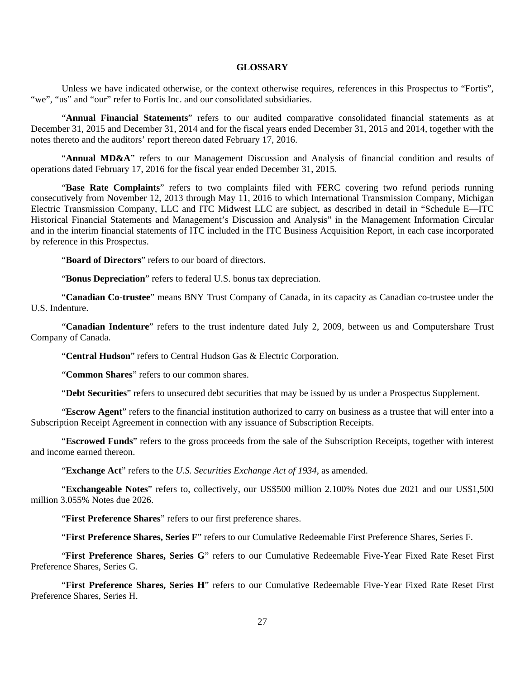#### **GLOSSARY**

Unless we have indicated otherwise, or the context otherwise requires, references in this Prospectus to "Fortis", "we", "us" and "our" refer to Fortis Inc. and our consolidated subsidiaries.

"**Annual Financial Statements**" refers to our audited comparative consolidated financial statements as at December 31, 2015 and December 31, 2014 and for the fiscal years ended December 31, 2015 and 2014, together with the notes thereto and the auditors' report thereon dated February 17, 2016.

"**Annual MD&A**" refers to our Management Discussion and Analysis of financial condition and results of operations dated February 17, 2016 for the fiscal year ended December 31, 2015.

"**Base Rate Complaints**" refers to two complaints filed with FERC covering two refund periods running consecutively from November 12, 2013 through May 11, 2016 to which International Transmission Company, Michigan Electric Transmission Company, LLC and ITC Midwest LLC are subject, as described in detail in "Schedule E—ITC Historical Financial Statements and Management's Discussion and Analysis" in the Management Information Circular and in the interim financial statements of ITC included in the ITC Business Acquisition Report, in each case incorporated by reference in this Prospectus.

"**Board of Directors**" refers to our board of directors.

"**Bonus Depreciation**" refers to federal U.S. bonus tax depreciation.

"**Canadian Co-trustee**" means BNY Trust Company of Canada, in its capacity as Canadian co-trustee under the U.S. Indenture.

"**Canadian Indenture**" refers to the trust indenture dated July 2, 2009, between us and Computershare Trust Company of Canada.

"**Central Hudson**" refers to Central Hudson Gas & Electric Corporation.

"**Common Shares**" refers to our common shares.

"**Debt Securities**" refers to unsecured debt securities that may be issued by us under a Prospectus Supplement.

"**Escrow Agent**" refers to the financial institution authorized to carry on business as a trustee that will enter into a Subscription Receipt Agreement in connection with any issuance of Subscription Receipts.

"**Escrowed Funds**" refers to the gross proceeds from the sale of the Subscription Receipts, together with interest and income earned thereon.

"**Exchange Act**" refers to the *U.S. Securities Exchange Act of 1934*, as amended.

"**Exchangeable Notes**" refers to, collectively, our US\$500 million 2.100% Notes due 2021 and our US\$1,500 million 3.055% Notes due 2026.

"**First Preference Shares**" refers to our first preference shares.

"**First Preference Shares, Series F**" refers to our Cumulative Redeemable First Preference Shares, Series F.

"**First Preference Shares, Series G**" refers to our Cumulative Redeemable Five-Year Fixed Rate Reset First Preference Shares, Series G.

"**First Preference Shares, Series H**" refers to our Cumulative Redeemable Five-Year Fixed Rate Reset First Preference Shares, Series H.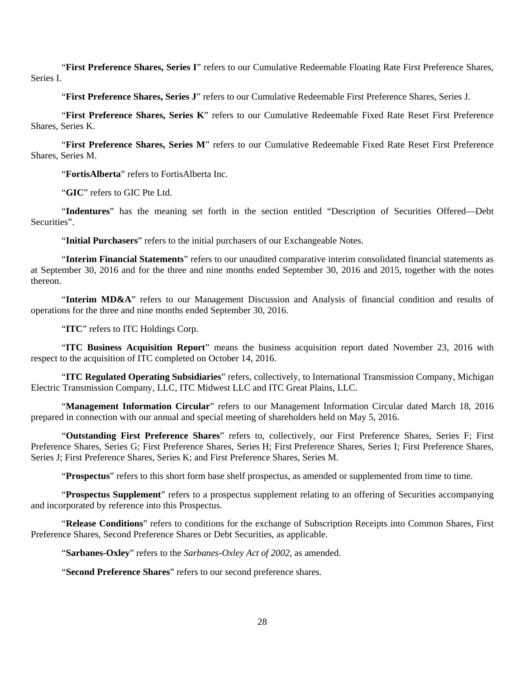"**First Preference Shares, Series I**" refers to our Cumulative Redeemable Floating Rate First Preference Shares, Series I.

"**First Preference Shares, Series J**" refers to our Cumulative Redeemable First Preference Shares, Series J.

"**First Preference Shares, Series K**" refers to our Cumulative Redeemable Fixed Rate Reset First Preference Shares, Series K.

"**First Preference Shares, Series M**" refers to our Cumulative Redeemable Fixed Rate Reset First Preference Shares, Series M.

"**FortisAlberta**" refers to FortisAlberta Inc.

"**GIC**" refers to GIC Pte Ltd.

"**Indentures**" has the meaning set forth in the section entitled "Description of Securities Offered—Debt Securities".

"**Initial Purchasers**" refers to the initial purchasers of our Exchangeable Notes.

"**Interim Financial Statements**" refers to our unaudited comparative interim consolidated financial statements as at September 30, 2016 and for the three and nine months ended September 30, 2016 and 2015, together with the notes thereon.

"**Interim MD&A**" refers to our Management Discussion and Analysis of financial condition and results of operations for the three and nine months ended September 30, 2016.

"**ITC**" refers to ITC Holdings Corp.

"**ITC Business Acquisition Report**" means the business acquisition report dated November 23, 2016 with respect to the acquisition of ITC completed on October 14, 2016.

"**ITC Regulated Operating Subsidiaries**" refers, collectively, to International Transmission Company, Michigan Electric Transmission Company, LLC, ITC Midwest LLC and ITC Great Plains, LLC.

"**Management Information Circular**" refers to our Management Information Circular dated March 18, 2016 prepared in connection with our annual and special meeting of shareholders held on May 5, 2016.

"**Outstanding First Preference Shares**" refers to, collectively, our First Preference Shares, Series F; First Preference Shares, Series G; First Preference Shares, Series H; First Preference Shares, Series I; First Preference Shares, Series J; First Preference Shares, Series K; and First Preference Shares, Series M.

"**Prospectus**" refers to this short form base shelf prospectus, as amended or supplemented from time to time.

"**Prospectus Supplement**" refers to a prospectus supplement relating to an offering of Securities accompanying and incorporated by reference into this Prospectus.

"**Release Conditions**" refers to conditions for the exchange of Subscription Receipts into Common Shares, First Preference Shares, Second Preference Shares or Debt Securities, as applicable.

"**Sarbanes-Oxley**" refers to the *Sarbanes-Oxley Act of 2002*, as amended.

"**Second Preference Shares**" refers to our second preference shares.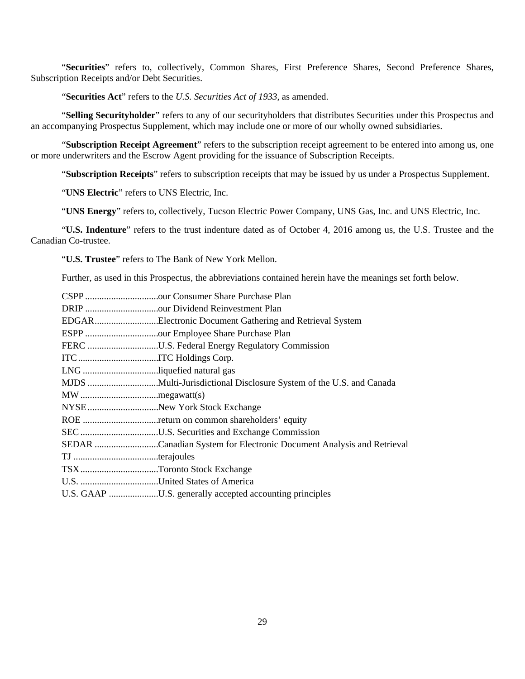"**Securities**" refers to, collectively, Common Shares, First Preference Shares, Second Preference Shares, Subscription Receipts and/or Debt Securities.

"**Securities Act**" refers to the *U.S. Securities Act of 1933*, as amended.

"**Selling Securityholder**" refers to any of our securityholders that distributes Securities under this Prospectus and an accompanying Prospectus Supplement, which may include one or more of our wholly owned subsidiaries.

"**Subscription Receipt Agreement**" refers to the subscription receipt agreement to be entered into among us, one or more underwriters and the Escrow Agent providing for the issuance of Subscription Receipts.

"**Subscription Receipts**" refers to subscription receipts that may be issued by us under a Prospectus Supplement.

"**UNS Electric**" refers to UNS Electric, Inc.

"**UNS Energy**" refers to, collectively, Tucson Electric Power Company, UNS Gas, Inc. and UNS Electric, Inc.

"**U.S. Indenture**" refers to the trust indenture dated as of October 4, 2016 among us, the U.S. Trustee and the Canadian Co-trustee.

"**U.S. Trustee**" refers to The Bank of New York Mellon.

Further, as used in this Prospectus, the abbreviations contained herein have the meanings set forth below.

|                        | EDGARElectronic Document Gathering and Retrieval System              |
|------------------------|----------------------------------------------------------------------|
|                        | ESPP our Employee Share Purchase Plan                                |
|                        | FERC U.S. Federal Energy Regulatory Commission                       |
| ITC ITC Holdings Corp. |                                                                      |
|                        |                                                                      |
|                        |                                                                      |
|                        |                                                                      |
|                        | NYSE New York Stock Exchange                                         |
|                        |                                                                      |
|                        |                                                                      |
|                        | SEDAR Canadian System for Electronic Document Analysis and Retrieval |
|                        |                                                                      |
|                        | TSX Toronto Stock Exchange                                           |
|                        |                                                                      |
|                        | U.S. GAAP U.S. generally accepted accounting principles              |
|                        |                                                                      |